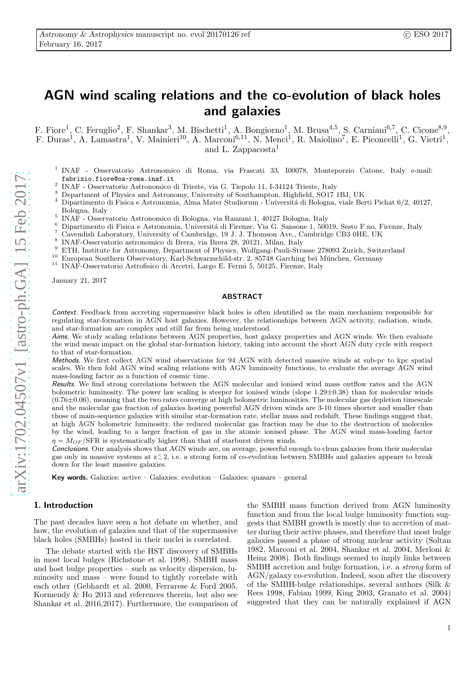# AGN wind scaling relations and the co-evolution of black holes and galaxies

F. Fiore<sup>1</sup>, C. Feruglio<sup>2</sup>, F. Shankar<sup>3</sup>, M. Bischetti<sup>1</sup>, A. Bongiorno<sup>1</sup>, M. Brusa<sup>4,5</sup>, S. Carniani<sup>6,7</sup>, C. Cicone<sup>8,9</sup>, F. Duras<sup>1</sup>, A. Lamastra<sup>1</sup>, V. Mainieri<sup>10</sup>, A. Marconi<sup>6,11</sup>, N. Menci<sup>1</sup>, R. Maiolino<sup>7</sup>, E. Piconcelli<sup>1</sup>, G. Vietri<sup>1</sup>, and L. Zappacosta $<sup>1</sup>$ </sup>

- 1 INAF Osservatorio Astronomico di Roma, via Frascati 33, I00078, Monteporzio Catone, Italy e-mail: fabrizio.fiore@oa-roma.inaf.it
- 2 INAF - Osservatorio Astronomico di Trieste, via G. Tiepolo 11, I-34124 Trieste, Italy
- <sup>3</sup> Department of Physics and Astronomy, University of Southampton, Highfield, SO17 1BJ, UK
- Dipartimento di Fisica e Astronomia, Alma Mater Studiorum Universitá di Bologna, viale Berti Pichat 6/2, 40127, Bologna, Italy 5
- INAF Osservatorio Astronomico di Bologna, via Ranzani 1, 40127 Bologna, Italy
- <sup>6</sup> Dipartimento di Fisica e Astronomia, Università di Firenze, Via G. Sansone 1, 50019, Sesto F.no, Firenze, Italy
- <sup>7</sup> Cavendish Laboratory, University of Cambridge, 19 J. J. Thomson Ave., Cambridge CB3 0HE, UK
- 8 INAF-Osservatorio astronomico di Brera, via Brera 28, 20121, Milan, Italy
- <sup>9</sup> ETH, Institute for Astronomy, Department of Physics, Wolfgang-Pauli-Strasse 278093 Zurich, Switzerland
- $10$  European Southern Observatory, Karl-Schwarzschild-str. 2, 85748 Garching bei München, Germany
- <sup>11</sup> INAF-Osservatorio Astrofisico di Arcetri, Largo E. Fermi 5, 50125, Firenze, Italy

January 21, 2017

## ABSTRACT

Context. Feedback from accreting supermassive black holes is often identified as the main mechanism responsible for regulating star-formation in AGN host galaxies. However, the relationships between AGN activity, radiation, winds, and star-formation are complex and still far from being understood.

Aims. We study scaling relations between AGN properties, host galaxy properties and AGN winds. We then evaluate the wind mean impact on the global star-formation history, taking into account the short AGN duty cycle with respect to that of star-formation.

Methods. We first collect AGN wind observations for 94 AGN with detected massive winds at sub-pc to kpc spatial scales. We then fold AGN wind scaling relations with AGN luminosity functions, to evaluate the average AGN wind mass-loading factor as a function of cosmic time.

Results. We find strong correlations between the AGN molecular and ionised wind mass outflow rates and the AGN bolometric luminosity. The power law scaling is steeper for ionised winds (slope 1.29±0.38) than for molecular winds  $(0.76\pm0.06)$ , meaning that the two rates converge at high bolometric luminosities. The molecular gas depletion timescale and the molecular gas fraction of galaxies hosting powerful AGN driven winds are 3-10 times shorter and smaller than those of main-sequence galaxies with similar star-formation rate, stellar mass and redshift. These findings suggest that, at high AGN bolometric luminosity, the reduced molecular gas fraction may be due to the destruction of molecules by the wind, leading to a larger fraction of gas in the atomic ionised phase. The AGN wind mass-loading factor  $\eta = \dot{M}_{OF}/\text{SFR}$  is systematically higher than that of starburst driven winds.

Conclusions. Our analysis shows that AGN winds are, on average, powerful enough to clean galaxies from their molecular gas only in massive systems at  $z \lesssim 2$ , i.e. a strong form of co-evolution between SMBHs and galaxies appears to break down for the least massive galaxies.

Key words. Galaxies: active – Galaxies: evolution – Galaxies: quasars – general

# 1. Introduction

The past decades have seen a hot debate on whether, and how, the evolution of galaxies and that of the supermassive black holes (SMBHs) hosted in their nuclei is correlated.

The debate started with the HST discovery of SMBHs in most local bulges (Richstone et al. 1998). SMBH mass and host bulge properties – such as velocity dispersion, luminosity and mass – were found to tightly correlate with each other (Gebhardt et al. 2000, Ferrarese & Ford 2005, Kormendy & Ho 2013 and references therein, but also see Shankar et al. 2016,2017). Furthermore, the comparison of the SMBH mass function derived from AGN luminosity function and from the local bulge luminosity function suggests that SMBH growth is mostly due to accretion of matter during their active phases, and therefore that most bulge galaxies passed a phase of strong nuclear activity (Soltan 1982, Marconi et al. 2004, Shankar et al. 2004, Merloni & Heinz 2008). Both findings seemed to imply links between SMBH accretion and bulge formation, i.e. a strong form of AGN/galaxy co-evolution. Indeed, soon after the discovery of the SMBH-bulge relationships, several authors (Silk & Rees 1998, Fabian 1999, King 2003, Granato et al. 2004) suggested that they can be naturally explained if AGN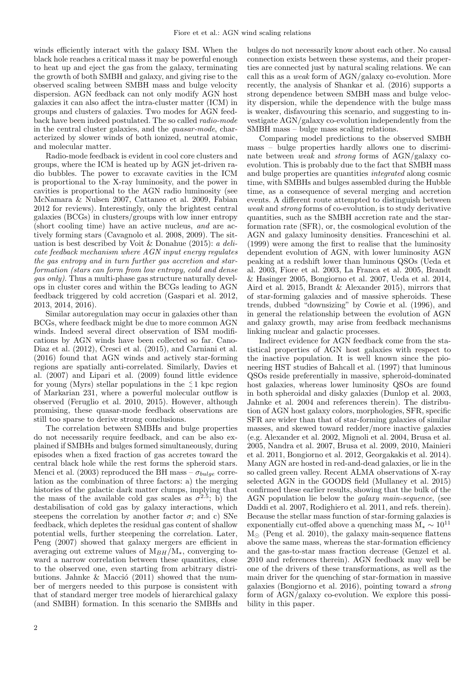winds efficiently interact with the galaxy ISM. When the black hole reaches a critical mass it may be powerful enough to heat up and eject the gas from the galaxy, terminating the growth of both SMBH and galaxy, and giving rise to the observed scaling between SMBH mass and bulge velocity dispersion. AGN feedback can not only modify AGN host galaxies it can also affect the intra-cluster matter (ICM) in groups and clusters of galaxies. Two modes for AGN feedback have been indeed postulated. The so called radio-mode in the central cluster galaxies, and the quasar-mode, characterized by slower winds of both ionized, neutral atomic, and molecular matter.

Radio-mode feedback is evident in cool core clusters and groups, where the ICM is heated up by AGN jet-driven radio bubbles. The power to excavate cavities in the ICM is proportional to the X-ray luminosity, and the power in cavities is proportional to the AGN radio luminosity (see McNamara & Nulsen 2007, Cattaneo et al. 2009, Fabian 2012 for reviews). Interestingly, only the brightest central galaxies (BCGs) in clusters/groups with low inner entropy (short cooling time) have an active nucleus, and are actively forming stars (Cavagnolo et al. 2008, 2009). The situation is best described by Voit & Donahue (2015): a delicate feedback mechanism where AGN input energy regulates the gas entropy and in turn further gas accretion and starformation (stars can form from low entropy, cold and dense gas only). Thus a multi-phase gas structure naturally develops in cluster cores and within the BCGs leading to AGN feedback triggered by cold accretion (Gaspari et al. 2012, 2013, 2014, 2016).

Similar autoregulation may occur in galaxies other than BCGs, where feedback might be due to more common AGN winds. Indeed several direct observation of ISM modifications by AGN winds have been collected so far. Cano-Diaz et al. (2012), Cresci et al. (2015), and Carniani et al. (2016) found that AGN winds and actively star-forming regions are spatially anti-correlated. Similarly, Davies et al. (2007) and Lipari et al. (2009) found little evidence for young (Myrs) stellar populations in the  $\leq 1$  kpc region of Markarian 231, where a powerful molecular outflow is observed (Feruglio et al. 2010, 2015). However, although promising, these quasar-mode feedback observations are still too sparse to derive strong conclusions.

The correlation between SMBHs and bulge properties do not necessarily require feedback, and can be also explained if SMBHs and bulges formed simultaneously, during episodes when a fixed fraction of gas accretes toward the central black hole while the rest forms the spheroid stars. Menci et al. (2003) reproduced the BH mass –  $\sigma_{bulge}$  correlation as the combination of three factors: a) the merging histories of the galactic dark matter clumps, implying that the mass of the available cold gas scales as  $\sigma^{2.5}$ ; b) the destabilisation of cold gas by galaxy interactions, which steepens the correlation by another factor  $\sigma$ ; and c) SNe feedback, which depletes the residual gas content of shallow potential wells, further steepening the correlation. Later, Peng (2007) showed that galaxy mergers are efficient in averaging out extreme values of  $M_{BH}/M_*$ , converging toward a narrow correlation between these quantities, close to the observed one, even starting from arbitrary distributions. Jahnke  $& \text{Macció} (2011)$  showed that the number of mergers needed to this purpose is consistent with that of standard merger tree models of hierarchical galaxy (and SMBH) formation. In this scenario the SMBHs and bulges do not necessarily know about each other. No causal connection exists between these systems, and their properties are connected just by natural scaling relations. We can call this as a weak form of AGN/galaxy co-evolution. More recently, the analysis of Shankar et al. (2016) supports a strong dependence between SMBH mass and bulge velocity dispersion, while the dependence with the bulge mass is weaker, disfavouring this scenario, and suggesting to investigate AGN/galaxy co-evolution independently from the SMBH mass – bulge mass scaling relations.

Comparing model predictions to the observed SMBH mass – bulge properties hardly allows one to discriminate between weak and strong forms of AGN/galaxy coevolution. This is probably due to the fact that SMBH mass and bulge properties are quantities integrated along cosmic time, with SMBHs and bulges assembled during the Hubble time, as a consequence of several merging and accretion events. A different route attempted to distinguish between weak and strong forms of co-evolution, is to study derivative quantities, such as the SMBH accretion rate and the starformation rate (SFR), or, the cosmological evolution of the AGN and galaxy luminosity densities. Franceschini et al. (1999) were among the first to realise that the luminosity dependent evolution of AGN, with lower luminosity AGN peaking at a redshift lower than luminous QSOs (Ueda et al. 2003, Fiore et al. 2003, La Franca et al. 2005, Brandt & Hasinger 2005, Bongiorno et al. 2007, Ueda et al. 2014, Aird et al. 2015, Brandt & Alexander 2015), mirrors that of star-forming galaxies and of massive spheroids. These trends, dubbed "downsizing" by Cowie et al. (1996), and in general the relationship between the evolution of AGN and galaxy growth, may arise from feedback mechanisms linking nuclear and galactic processes.

Indirect evidence for AGN feedback come from the statistical properties of AGN host galaxies with respect to the inactive population. It is well known since the pioneering HST studies of Bahcall et al. (1997) that luminous QSOs reside preferentially in massive, spheroid-dominated host galaxies, whereas lower luminosity QSOs are found in both spheroidal and disky galaxies (Dunlop et al. 2003, Jahnke et al. 2004 and references therein). The distribution of AGN host galaxy colors, morphologies, SFR, specific SFR are wider than that of star-forming galaxies of similar masses, and skewed toward redder/more inactive galaxies (e.g. Alexander et al. 2002, Mignoli et al. 2004, Brusa et al. 2005, Nandra et al. 2007, Brusa et al. 2009, 2010, Mainieri et al. 2011, Bongiorno et al. 2012, Georgakakis et al. 2014). Many AGN are hosted in red-and-dead galaxies, or lie in the so called green valley. Recent ALMA observations of X-ray selected AGN in the GOODS field (Mullaney et al. 2015) confirmed these earlier results, showing that the bulk of the AGN population lie below the galaxy main-sequence, (see Daddi et al. 2007, Rodighiero et al. 2011, and refs. therein). Because the stellar mass function of star-forming galaxies is exponentially cut-offed above a quenching mass  $\stackrel{\sim}{M}_{*} \sim 10^{11}$ M<sup>⊙</sup> (Peng et al. 2010), the galaxy main-sequence flattens above the same mass, whereas the star-formation efficiency and the gas-to-star mass fraction decrease (Genzel et al. 2010 and references therein). AGN feedback may well be one of the drivers of these transformations, as well as the main driver for the quenching of star-formation in massive galaxies (Bongiorno et al. 2016), pointing toward a strong form of AGN/galaxy co-evolution. We explore this possibility in this paper.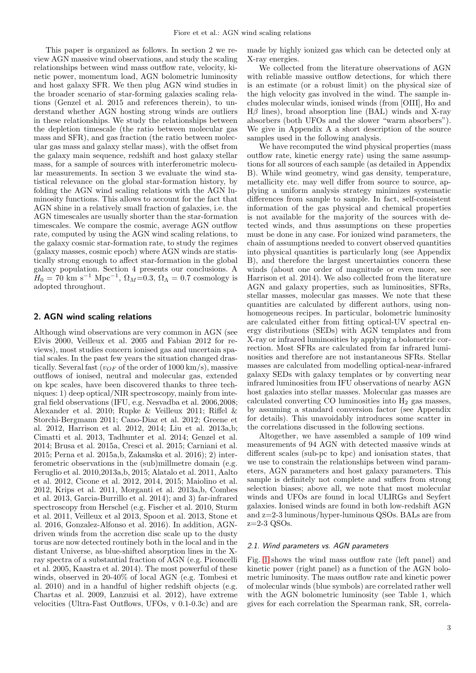This paper is organized as follows. In section 2 we review AGN massive wind observations, and study the scaling relationships between wind mass outflow rate, velocity, kinetic power, momentum load, AGN bolometric luminosity and host galaxy SFR. We then plug AGN wind studies in the broader scenario of star-forming galaxies scaling relations (Genzel et al. 2015 and references therein), to understand whether AGN hosting strong winds are outliers in these relationships. We study the relationships between the depletion timescale (the ratio between molecular gas mass and SFR), and gas fraction (the ratio between molecular gas mass and galaxy stellar mass), with the offset from the galaxy main sequence, redshift and host galaxy stellar mass, for a sample of sources with interferometric molecular measurements. In section 3 we evaluate the wind statistical relevance on the global star-formation history, by folding the AGN wind scaling relations with the AGN luminosity functions. This allows to account for the fact that AGN shine in a relatively small fraction of galaxies, i.e. the AGN timescales are usually shorter than the star-formation timescales. We compare the cosmic, average AGN outflow rate, computed by using the AGN wind scaling relations, to the galaxy cosmic star-formation rate, to study the regimes (galaxy masses, cosmic epoch) where AGN winds are statistically strong enough to affect star-formation in the global galaxy population. Section 4 presents our conclusions. A  $H_0 = 70$  km s<sup>-1</sup> Mpc<sup>-1</sup>,  $\Omega_M = 0.3$ ,  $\Omega_{\Lambda} = 0.7$  cosmology is adopted throughout.

# 2. AGN wind scaling relations

Although wind observations are very common in AGN (see Elvis 2000, Veilleux et al. 2005 and Fabian 2012 for reviews), most studies concern ionised gas and uncertain spatial scales. In the past few years the situation changed drastically. Several fast  $(v_{OF}$  of the order of 1000 km/s), massive outflows of ionised, neutral and molecular gas, extended on kpc scales, have been discovered thanks to three techniques: 1) deep optical/NIR spectroscopy, mainly from integral field observations (IFU, e.g. Nesvadba et al. 2006,2008; Alexander et al. 2010; Rupke & Veilleux 2011; Riffel & Storchi-Bergmann 2011; Cano-Diaz et al. 2012; Greene et al. 2012, Harrison et al. 2012, 2014; Liu et al. 2013a,b; Cimatti et al. 2013, Tadhunter et al. 2014; Genzel et al. 2014; Brusa et al. 2015a, Cresci et al. 2015; Carniani et al. 2015; Perna et al. 2015a,b, Zakamska et al. 2016); 2) interferometric observations in the (sub)millmetre domain (e.g. Feruglio et al. 2010,2013a,b, 2015; Alatalo et al. 2011, Aalto et al. 2012, Cicone et al. 2012, 2014, 2015; Maiolino et al. 2012, Krips et al. 2011, Morganti et al. 2013a,b, Combes et al. 2013, Garcia-Burrillo et al. 2014); and 3) far-infrared spectroscopy from Herschel (e.g. Fischer et al. 2010, Sturm et al. 2011, Veilleux et al 2013, Spoon et al. 2013, Stone et al. 2016, Gonzalez-Alfonso et al. 2016). In addition, AGNdriven winds from the accretion disc scale up to the dusty torus are now detected routinely both in the local and in the distant Universe, as blue-shifted absorption lines in the Xray spectra of a substantial fraction of AGN (e.g. Piconcelli et al. 2005, Kaastra et al. 2014). The most powerful of these winds, observed in 20-40% of local AGN (e.g. Tombesi et al. 2010) and in a handful of higher redshift objects (e.g. Chartas et al. 2009, Lanzuisi et al. 2012), have extreme velocities (Ultra-Fast Outflows, UFOs, v 0.1-0.3c) and are made by highly ionized gas which can be detected only at X-ray energies.

We collected from the literature observations of AGN with reliable massive outflow detections, for which there is an estimate (or a robust limit) on the physical size of the high velocity gas involved in the wind. The sample includes molecular winds, ionised winds (from [OIII],  $H\alpha$  and  $H\beta$  lines), broad absorption line (BAL) winds and X-ray absorbers (both UFOs and the slower "warm absorbers"). We give in Appendix A a short description of the source samples used in the following analysis.

We have recomputed the wind physical properties (mass outflow rate, kinetic energy rate) using the same assumptions for all sources of each sample (as detailed in Appendix B). While wind geometry, wind gas density, temperature, metallicity etc. may well differ from source to source, applying a uniform analysis strategy minimizes systematic differences from sample to sample. In fact, self-consistent information of the gas physical and chemical properties is not available for the majority of the sources with detected winds, and thus assumptions on these properties must be done in any case. For ionized wind parameters, the chain of assumptions needed to convert observed quantities into physical quantities is particularly long (see Appendix B), and therefore the largest uncertainties concern these winds (about one order of magnitude or even more, see Harrison et al. 2014). We also collected from the literature AGN and galaxy properties, such as luminosities, SFRs, stellar masses, molecular gas masses. We note that these quantities are calculated by different authors, using nonhomogeneous recipes. In particular, bolometric luminosity are calculated either from fitting optical-UV spectral energy distributions (SEDs) with AGN templates and from X-ray or infrared luminosities by applying a bolometric correction. Most SFRs are calculated from far infrared luminosities and therefore are not instantaneous SFRs. Stellar masses are calculated from modelling optical-near-infrared galaxy SEDs with galaxy templates or by converting near infrared luminosities from IFU observations of nearby AGN host galaxies into stellar masses. Molecular gas masses are calculated converting  $CO$  luminosities into  $H_2$  gas masses, by assuming a standard conversion factor (see Appendix for details). This unavoidably introduces some scatter in the correlations discussed in the following sections.

Altogether, we have assembled a sample of 109 wind measurements of 94 AGN with detected massive winds at different scales (sub-pc to kpc) and ionisation states, that we use to constrain the relationships between wind parameters, AGN parameters and host galaxy parameters. This sample is definitely not complete and suffers from strong selection biases; above all, we note that most molecular winds and UFOs are found in local ULIRGs and Seyfert galaxies. Ionised winds are found in both low-redshift AGN and z=2-3 luminous/hyper-luminous QSOs. BALs are from  $z=2-3$  QSOs.

## 2.1. Wind parameters vs. AGN parameters

Fig. [1](#page-3-0) shows the wind mass outflow rate (left panel) and kinetic power (right panel) as a function of the AGN bolometric luminosity. The mass outflow rate and kinetic power of molecular winds (blue symbols) are correlated rather well with the AGN bolometric luminosity (see Table 1, which gives for each correlation the Spearman rank, SR, correla-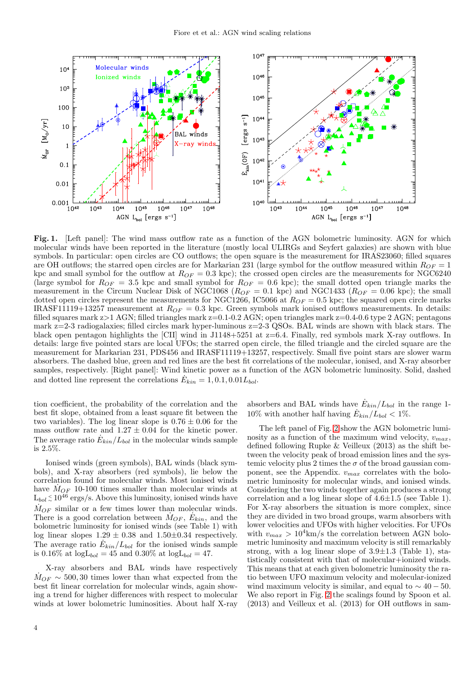

<span id="page-3-0"></span>Fig. 1. [Left panel]: The wind mass outflow rate as a function of the AGN bolometric luminosity. AGN for which molecular winds have been reported in the literature (mostly local ULIRGs and Seyfert galaxies) are shown with blue symbols. In particular: open circles are CO outflows; the open square is the measurement for IRAS23060; filled squares are OH outflows; the starred open circles are for Markarian 231 (large symbol for the outflow measured within  $R_{OF} = 1$ kpc and small symbol for the outflow at  $R_{OF} = 0.3$  kpc); the crossed open circles are the measurements for NGC6240 (large symbol for  $R_{OF} = 3.5$  kpc and small symbol for  $R_{OF} = 0.6$  kpc); the small dotted open triangle marks the measurement in the Circum Nuclear Disk of NGC1068 ( $R_{OF} = 0.1$  kpc) and NGC1433 ( $R_{OF} = 0.06$  kpc); the small dotted open circles represent the measurements for NGC1266, IC5066 at  $R_{OF} = 0.5$  kpc; the squared open circle marks IRASF11119+13257 measurement at  $R_{OF} = 0.3$  kpc. Green symbols mark ionised outflows measurements. In details: filled squares mark z>1 AGN; filled triangles mark z=0.1-0.2 AGN; open triangles mark z=0.4-0.6 type 2 AGN; pentagons mark  $z=2-3$  radiogalaxies; filled circles mark hyper-luminous  $z=2-3$  QSOs. BAL winds are shown with black stars. The black open pentagon highlights the [CII] wind in J1148+5251 at z=6.4. Finally, red symbols mark X-ray outflows. In details: large five pointed stars are local UFOs; the starred open circle, the filled triangle and the circled square are the measurement for Markarian 231, PDS456 and IRASF11119+13257, respectively. Small five point stars are slower warm absorbers. The dashed blue, green and red lines are the best fit correlations of the molecular, ionised, and X-ray absorber samples, respectively. [Right panel]: Wind kinetic power as a function of the AGN bolometric luminosity. Solid, dashed and dotted line represent the correlations  $\dot{E}_{kin} = 1, 0.1, 0.01L_{bol}$ .

tion coefficient, the probability of the correlation and the best fit slope, obtained from a least square fit between the two variables). The log linear slope is  $0.76 \pm 0.06$  for the mass outflow rate and  $1.27 \pm 0.04$  for the kinetic power. The average ratio  $\dot{E}_{kin}/L_{bol}$  in the molecular winds sample is 2.5%.

Ionised winds (green symbols), BAL winds (black symbols), and X-ray absorbers (red symbols), lie below the correlation found for molecular winds. Most ionised winds have  $\dot{M}_{OF}$  10-100 times smaller than molecular winds at  $L_{bol} \, \lesssim 10^{46}$  ergs/s. Above this luminosity, ionised winds have  $M_{OF}$  similar or a few times lower than molecular winds. There is a good correlation between  $\dot{M}_{OF}$ ,  $\dot{E}_{kin}$ , and the bolometric luminosity for ionised winds (see Table 1) with log linear slopes  $1.29 \pm 0.38$  and  $1.50\pm 0.34$  respectively. The average ratio  $\dot{E}_{kin}/L_{bol}$  for the ionised winds sample is 0.16% at  $logL_{bol} = 45$  and 0.30% at  $logL_{bol} = 47$ .

X-ray absorbers and BAL winds have respectively  $\dot{M}_{OF} \sim 500, 30$  times lower than what expected from the best fit linear correlation for molecular winds, again showing a trend for higher differences with respect to molecular winds at lower bolometric luminosities. About half X-ray absorbers and BAL winds have  $\dot{E}_{kin}/L_{bol}$  in the range 1-10% with another half having  $\dot{E}_{kin}/L_{bol} < 1\%$ .

The left panel of Fig. [2](#page-4-0) show the AGN bolometric luminosity as a function of the maximum wind velocity,  $v_{max}$ , defined following Rupke & Veilleux (2013) as the shift between the velocity peak of broad emission lines and the systemic velocity plus 2 times the  $\sigma$  of the broad gaussian component, see the Appendix.  $v_{max}$  correlates with the bolometric luminosity for molecular winds, and ionised winds. Considering the two winds together again produces a strong correlation and a log linear slope of  $4.6 \pm 1.5$  (see Table 1). For X-ray absorbers the situation is more complex, since they are divided in two broad groups, warm absorbers with lower velocities and UFOs with higher velocities. For UFOs with  $v_{max} > 10^4 \text{km/s}$  the correlation between AGN bolometric luminosity and maximum velocity is still remarkably strong, with a log linear slope of  $3.9\pm1.3$  (Table 1), statistically consistent with that of molecular+ionized winds. This means that at each given bolometric luminosity the ratio between UFO maximum velocity and molecular-ionized wind maximum velocity is similar, and equal to  $\sim 40 - 50$ . We also report in Fig. [2](#page-4-0) the scalings found by Spoon et al. (2013) and Veilleux et al. (2013) for OH outflows in sam-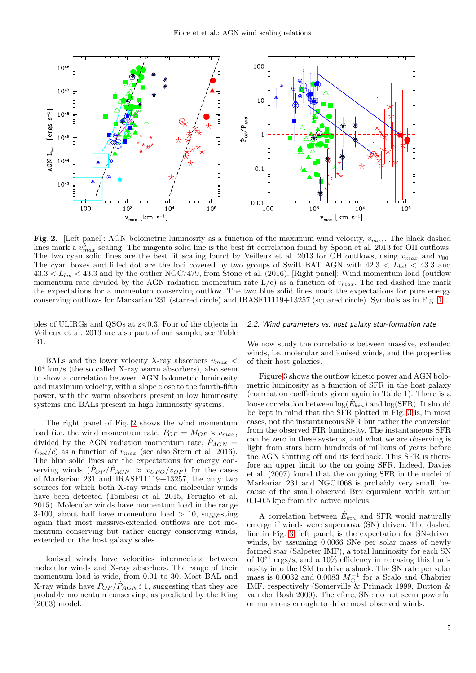

<span id="page-4-0"></span>Fig. 2. [Left panel]: AGN bolometric luminosity as a function of the maximum wind velocity,  $v_{max}$ . The black dashed lines mark a  $v_{max}^5$  scaling. The magenta solid line is the best fit correlation found by Spoon et al. 2013 for OH outflows. The two cyan solid lines are the best fit scaling found by Veilleux et al. 2013 for OH outflows, using  $v_{max}$  and  $v_{80}$ . The cyan boxes and filled dot are the loci covered by two groups of Swift BAT AGN with  $42.3 < L_{bol} < 43.3$  and  $43.3 < L_{bol} < 43.3$  and by the outlier NGC7479, from Stone et al. (2016). [Right panel]: Wind momentum load (outflow momentum rate divided by the AGN radiation momentum rate  $L/c$ ) as a function of  $v_{max}$ . The red dashed line mark the expectations for a momentum conserving outflow. The two blue solid lines mark the expectations for pure energy conserving outflows for Markarian 231 (starred circle) and IRASF11119+13257 (squared circle). Symbols as in Fig. [1.](#page-3-0)

ples of ULIRGs and QSOs at z<0.3. Four of the objects in Veilleux et al. 2013 are also part of our sample, see Table B1.

BALs and the lower velocity X-ray absorbers  $v_{max}$  <  $10^4$  km/s (the so called X-ray warm absorbers), also seem to show a correlation between AGN bolometric luminosity and maximum velocity, with a slope close to the fourth-fifth power, with the warm absorbers present in low luminosity systems and BALs present in high luminosity systems.

The right panel of Fig. [2](#page-4-0) shows the wind momentum load (i.e. the wind momentum rate,  $P_{OF} = M_{OF} \times v_{max}$ , divided by the AGN radiation momentum rate,  $\dot{P}_{AGN}$  =  $L_{bol}/c$ ) as a function of  $v_{max}$  (see also Stern et al. 2016). The blue solid lines are the expectations for energy conserving winds  $(\dot{P}_{OF}/\dot{P}_{AGN} \approx v_{UFO}/v_{OF})$  for the cases of Markarian 231 and IRASF11119+13257, the only two sources for which both X-ray winds and molecular winds have been detected (Tombesi et al. 2015, Feruglio et al. 2015). Molecular winds have momentum load in the range 3-100, about half have momentum load  $> 10$ , suggesting again that most massive-extended outflows are not momentum conserving but rather energy conserving winds, extended on the host galaxy scales.

Ionised winds have velocities intermediate between molecular winds and X-ray absorbers. The range of their momentum load is wide, from 0.01 to 30. Most BAL and X-ray winds have  $\dot{P}_{OF}/\dot{P}_{AGN} \le 1$ , suggesting that they are probably momentum conserving, as predicted by the King (2003) model.

## 2.2. Wind parameters vs. host galaxy star-formation rate

We now study the correlations between massive, extended winds, i.e. molecular and ionised winds, and the properties of their host galaxies.

Figure [3](#page-5-0) shows the outflow kinetic power and AGN bolometric luminosity as a function of SFR in the host galaxy (correlation coefficients given again in Table 1). There is a loose correlation between  $\log(\dot{E}_{kin})$  and  $\log(\textrm{SFR})$ . It should be kept in mind that the SFR plotted in Fig. [3](#page-5-0) is, in most cases, not the instantaneous SFR but rather the conversion from the observed FIR luminosity. The instantaneous SFR can be zero in these systems, and what we are observing is light from stars born hundreds of millions of years before the AGN shutting off and its feedback. This SFR is therefore an upper limit to the on going SFR. Indeed, Davies et al. (2007) found that the on going SFR in the nuclei of Markarian 231 and NGC1068 is probably very small, because of the small observed  $\text{Br}\gamma$  equivalent width within 0.1-0.5 kpc from the active nucleus.

A correlation between  $\dot{E}_{kin}$  and SFR would naturally emerge if winds were supernova (SN) driven. The dashed line in Fig. [3,](#page-5-0) left panel, is the expectation for SN-driven winds, by assuming 0.0066 SNe per solar mass of newly formed star (Salpeter IMF), a total luminosity for each SN of  $10^{51}$  ergs/s, and a  $10\%$  efficiency in releasing this luminosity into the ISM to drive a shock. The SN rate per solar mass is 0.0032 and 0.0083  $M_{\odot}^{-1}$  for a Scalo and Chabrier IMF, respectively (Somerville & Primack 1999, Dutton & van der Bosh 2009). Therefore, SNe do not seem powerful or numerous enough to drive most observed winds.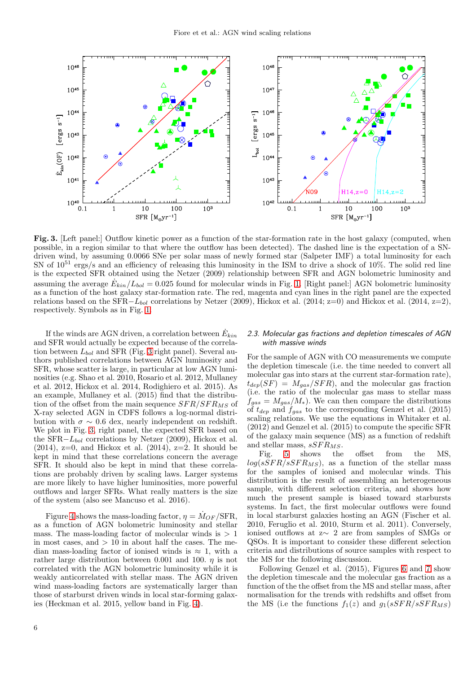

<span id="page-5-0"></span>Fig. 3. [Left panel:] Outflow kinetic power as a function of the star-formation rate in the host galaxy (computed, when possible, in a region similar to that where the outflow has been detected). The dashed line is the expectation of a SNdriven wind, by assuming 0.0066 SNe per solar mass of newly formed star (Salpeter IMF) a total luminosity for each SN of  $10^{51}$  ergs/s and an efficiency of releasing this luminosity in the ISM to drive a shock of  $10\%$ . The solid red line is the expected SFR obtained using the Netzer (2009) relationship between SFR and AGN bolometric luminosity and assuming the average  $\dot{E}_{kin}/L_{bol} = 0.025$  found for molecular winds in Fig. [1.](#page-3-0) [Right panel:] AGN bolometric luminosity as a function of the host galaxy star-formation rate. The red, magenta and cyan lines in the right panel are the expected relations based on the SFR $-L_{bol}$  correlations by Netzer (2009), Hickox et al. (2014; z=0) and Hickox et al. (2014, z=2), respectively. Symbols as in Fig. [1.](#page-3-0)

If the winds are AGN driven, a correlation between  $\dot{E}_{kin}$ and SFR would actually be expected because of the correlation between  $L_{bol}$  and SFR (Fig. [3](#page-5-0) right panel). Several authors published correlations between AGN luminosity and SFR, whose scatter is large, in particular at low AGN luminosities (e.g. Shao et al. 2010, Rosario et al. 2012, Mullaney et al. 2012, Hickox et al. 2014, Rodighiero et al. 2015). As an example, Mullaney et al. (2015) find that the distribution of the offset from the main sequence  $SFR/SFR_{MS}$  of X-ray selected AGN in CDFS follows a log-normal distribution with  $\sigma \sim 0.6$  dex, nearly independent on redshift. We plot in Fig. [3,](#page-5-0) right panel, the expected SFR based on the SFR $-L_{bol}$  correlations by Netzer (2009), Hickox et al.  $(2014)$ ,  $z=0$ , and Hickox et al.  $(2014)$ ,  $z=2$ . It should be kept in mind that these correlations concern the average SFR. It should also be kept in mind that these correlations are probably driven by scaling laws. Larger systems are more likely to have higher luminosities, more powerful outflows and larger SFRs. What really matters is the size of the system (also see Mancuso et al. 2016).

Figure [4](#page-6-0) shows the mass-loading factor,  $\eta = M_{OF}/\text{SFR}$ , as a function of AGN bolometric luminosity and stellar mass. The mass-loading factor of molecular winds is  $> 1$ in most cases, and  $> 10$  in about half the cases. The median mass-loading factor of ionised winds is  $\approx 1$ , with a rather large distribution between 0.001 and 100.  $\eta$  is not correlated with the AGN bolometric luminosity while it is weakly anticorrelated with stellar mass. The AGN driven wind mass-loading factors are systematically larger than those of starburst driven winds in local star-forming galaxies (Heckman et al. 2015, yellow band in Fig. [4\)](#page-6-0).

#### 2.3. Molecular gas fractions and depletion timescales of AGN with massive winds

For the sample of AGN with CO measurements we compute the depletion timescale (i.e. the time needed to convert all molecular gas into stars at the current star-formation rate),  $t_{dep}(SF) = M_{gas}/SFR$ , and the molecular gas fraction (i.e. the ratio of the molecular gas mass to stellar mass  $f_{gas} = M_{gas}/M_*$ ). We can then compare the distributions of  $t_{dep}$  and  $f_{gas}$  to the corresponding Genzel et al. (2015) scaling relations. We use the equations in Whitaker et al. (2012) and Genzel et al. (2015) to compute the specific SFR of the galaxy main sequence (MS) as a function of redshift and stellar mass,  $sSFR_{MS}$ .

Fig. [5](#page-7-0) shows the offset from the MS,  $log(sSFR/sSFR_{MS})$ , as a function of the stellar mass for the samples of ionised and molecular winds. This distribution is the result of assembling an heterogeneous sample, with different selection criteria, and shows how much the present sample is biased toward starbursts systems. In fact, the first molecular outflows were found in local starburst galaxies hosting an AGN (Fischer et al. 2010, Feruglio et al. 2010, Sturm et al. 2011). Conversely, ionised outflows at z∼ 2 are from samples of SMGs or QSOs. It is important to consider these different selection criteria and distributions of source samples with respect to the MS for the following discussion.

Following Genzel et al. (2015), Figures [6](#page-8-0) and [7](#page-8-1) show the depletion timescale and the molecular gas fraction as a function of the the offset from the MS and stellar mass, after normalisation for the trends with redshifts and offset from the MS (i.e the functions  $f_1(z)$  and  $g_1(sSFR/sSFR_{MS})$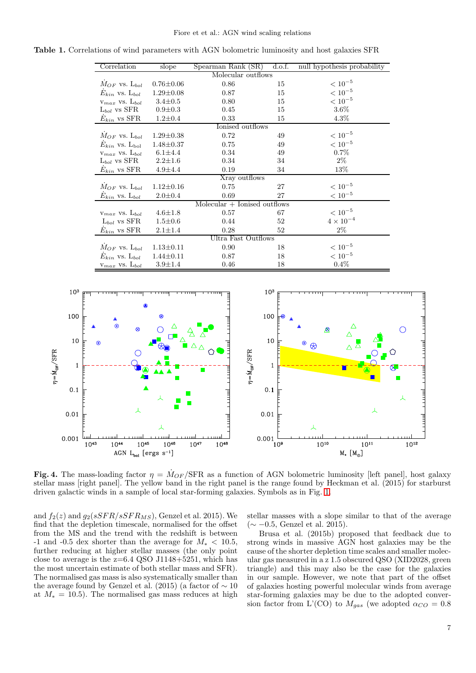Table 1. Correlations of wind parameters with AGN bolometric luminosity and host galaxies SFR

| Correlation             | slope               | Spearman Rank (SR)             | d.o.f. | null hypothesis probability |  |  |  |  |  |  |
|-------------------------|---------------------|--------------------------------|--------|-----------------------------|--|--|--|--|--|--|
|                         |                     | Molecular outflows             |        |                             |  |  |  |  |  |  |
| $M_{OF}$ vs. $L_{bol}$  | $0.76 \pm 0.06$     | 0.86                           | 15     | $<10^{-5}\,$                |  |  |  |  |  |  |
| $E_{kin}$ vs. $L_{bol}$ | $1.29 \pm 0.08$     | 0.87                           | 15     | $< 10^{-5}$                 |  |  |  |  |  |  |
| $v_{max}$ vs. $L_{bol}$ | $3.4 \pm 0.5$       | 0.80                           | 15     | $< 10^{-5}$                 |  |  |  |  |  |  |
| $L_{bol}$ vs SFR        | $0.9 \pm 0.3$       | 0.45                           | 15     | $3.6\%$                     |  |  |  |  |  |  |
| $E_{kin}$ vs SFR        | $1.2 \pm 0.4$       | 0.33                           | 15     | $4.3\%$                     |  |  |  |  |  |  |
|                         |                     | Ionised outflows               |        |                             |  |  |  |  |  |  |
| $M_{OF}$ vs. $L_{bol}$  | $1.29 \pm 0.38$     | 0.72                           | 49     | $< 10^{-5}\,$               |  |  |  |  |  |  |
| $E_{kin}$ vs. $L_{bol}$ | $1.48 \pm 0.37$     | 0.75                           | 49     | $< 10^{-5}$                 |  |  |  |  |  |  |
| $v_{max}$ vs. $L_{bol}$ | $6.1 \pm 4.4$       | 0.34                           | 49     | $0.7\%$                     |  |  |  |  |  |  |
| $L_{bol}$ vs SFR        | $2.2 \pm 1.6$       | 0.34                           | 34     | $2\%$                       |  |  |  |  |  |  |
| $\dot{E}_{kin}$ vs SFR  | $4.9 + 4.4$         | 0.19                           | 34     | $13\%$                      |  |  |  |  |  |  |
|                         |                     | Xray outflows                  |        |                             |  |  |  |  |  |  |
| $M_{OF}$ vs. $L_{bol}$  | $1.12 \pm 0.16$     | 0.75                           | 27     | $< 10^{-5}$                 |  |  |  |  |  |  |
| $E_{kin}$ vs. $L_{bol}$ | $2.0 \pm 0.4$       | 0.69                           | 27     | $<10^{-5}\,$                |  |  |  |  |  |  |
|                         |                     | $Molecular + Ionised outflows$ |        |                             |  |  |  |  |  |  |
| $v_{max}$ vs. $L_{bol}$ | $4.6 \pm 1.8$       | 0.57                           | 67     | $< 10^{-5}\,$               |  |  |  |  |  |  |
| $L_{bol}$ vs SFR        | $1.5 \pm 0.6$       | 0.44                           | 52     | $4 \times 10^{-4}$          |  |  |  |  |  |  |
| $E_{kin}$ vs SFR        | $2.1 \pm 1.4$       | 0.28                           | 52     | $2\%$                       |  |  |  |  |  |  |
|                         | Ultra Fast Outflows |                                |        |                             |  |  |  |  |  |  |
| $M_{OF}$ vs. $L_{bol}$  | $1.13 \pm 0.11$     | 0.90                           | 18     | $<10^{-5}\,$                |  |  |  |  |  |  |
| $E_{kin}$ vs. $L_{bol}$ | $1.44 \pm 0.11$     | 0.87                           | 18     | $< 10^{-5}$                 |  |  |  |  |  |  |
| $v_{max}$ vs. $L_{bol}$ | $3.9 \pm 1.4$       | 0.46                           | 18     | $0.4\%$                     |  |  |  |  |  |  |



<span id="page-6-0"></span>Fig. 4. The mass-loading factor  $\eta = M_{OF}/\text{SFR}$  as a function of AGN bolometric luminosity [left panel], host galaxy stellar mass [right panel]. The yellow band in the right panel is the range found by Heckman et al. (2015) for starburst driven galactic winds in a sample of local star-forming galaxies. Symbols as in Fig. [1.](#page-3-0)

and  $f_2(z)$  and  $g_2(sSFR/sSFR_{MS})$ , Genzel et al. 2015). We find that the depletion timescale, normalised for the offset from the MS and the trend with the redshift is between -1 and -0.5 dex shorter than the average for  $M_* < 10.5$ , further reducing at higher stellar masses (the only point close to average is the  $z=6.4$  QSO J1148+5251, which has the most uncertain estimate of both stellar mass and SFR). The normalised gas mass is also systematically smaller than the average found by Genzel et al. (2015) (a factor of  $\sim 10$ at  $M_* = 10.5$ . The normalised gas mass reduces at high stellar masses with a slope similar to that of the average  $(∼ -0.5, Genzel et al. 2015).$ 

Brusa et al. (2015b) proposed that feedback due to strong winds in massive AGN host galaxies may be the cause of the shorter depletion time scales and smaller molecular gas measured in a z 1.5 obscured QSO (XID2028, green triangle) and this may also be the case for the galaxies in our sample. However, we note that part of the offset of galaxies hosting powerful molecular winds from average star-forming galaxies may be due to the adopted conversion factor from L'(CO) to  $M_{gas}$  (we adopted  $\alpha_{CO} = 0.8$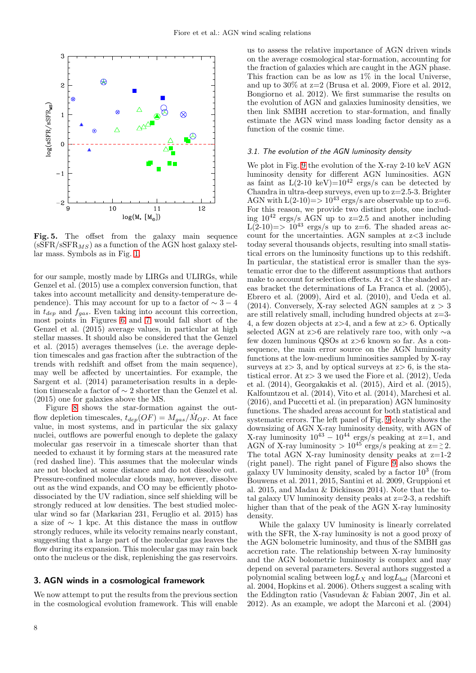

<span id="page-7-0"></span>Fig. 5. The offset from the galaxy main sequence  $(sSFR/sSFR<sub>MS</sub>)$  as a function of the AGN host galaxy stellar mass. Symbols as in Fig. [1.](#page-3-0)

for our sample, mostly made by LIRGs and ULIRGs, while Genzel et al. (2015) use a complex conversion function, that takes into account metallicity and density-temperature dependence). This may account for up to a factor of  $\sim 3-4$ in  $t_{dep}$  and  $f_{gas}$ . Even taking into account this correction, most points in Figures [6](#page-8-0) and [7](#page-8-1) would fall short of the Genzel et al. (2015) average values, in particular at high stellar masses. It should also be considered that the Genzel et al. (2015) averages themselves (i.e. the average depletion timescales and gas fraction after the subtraction of the trends with redshift and offset from the main sequence), may well be affected by uncertainties. For example, the Sargent et al. (2014) parameterisation results in a depletion timescale a factor of  $\sim$  2 shorter than the Genzel et al. (2015) one for galaxies above the MS.

Figure [8](#page-9-0) shows the star-formation against the outflow depletion timescales,  $t_{dep}(OF) = M_{gas}/\dot{M}_{OF}$ . At face value, in most systems, and in particular the six galaxy nuclei, outflows are powerful enough to deplete the galaxy molecular gas reservoir in a timescale shorter than that needed to exhaust it by forming stars at the measured rate (red dashed line). This assumes that the molecular winds are not blocked at some distance and do not dissolve out. Pressure-confined molecular clouds may, however, dissolve out as the wind expands, and CO may be efficiently photodissociated by the UV radiation, since self shielding will be strongly reduced at low densities. The best studied molecular wind so far (Markarian 231, Feruglio et al. 2015) has a size of ∼ 1 kpc. At this distance the mass in outflow strongly reduces, while its velocity remains nearly constant, suggesting that a large part of the molecular gas leaves the flow during its expansion. This molecular gas may rain back onto the nucleus or the disk, replenishing the gas reservoirs.

# 3. AGN winds in a cosmological framework

We now attempt to put the results from the previous section in the cosmological evolution framework. This will enable

## 3.1. The evolution of the AGN luminosity density

We plot in Fig. [9](#page-10-0) the evolution of the X-ray 2-10 keV AGN luminosity density for different AGN luminosities. AGN as faint as  $L(2-10 \text{ keV})=10^{42} \text{ ergs/s}$  can be detected by Chandra in ultra-deep surveys, even up to  $z=2.5-3$ . Brighter AGN with  $L(2-10)=$  >  $10^{43}$  ergs/s are observable up to z=6. For this reason, we provide two distinct plots, one including  $10^{42}$  ergs/s AGN up to z=2.5 and another including  $L(2-10)=$   $> 10^{43}$  ergs/s up to z=6. The shaded areas account for the uncertainties. AGN samples at z<3 include today several thousands objects, resulting into small statistical errors on the luminosity functions up to this redshift. In particular, the statistical error is smaller than the systematic error due to the different assumptions that authors make to account for selection effects. At  $z < 3$  the shaded areas bracket the determinations of La Franca et al. (2005), Ebrero et al. (2009), Aird et al. (2010), and Ueda et al. (2014). Conversely, X-ray selected AGN samples at  $z > 3$ are still relatively small, including hundred objects at  $z=3$ -4, a few dozen objects at  $z>4$ , and a few at  $z>6$ . Optically selected AGN at z>6 are relatively rare too, with only ∼a few dozen luminous QSOs at z>6 known so far. As a consequence, the main error source on the AGN luminosity functions at the low-medium luminosities sampled by X-ray surveys at  $z > 3$ , and by optical surveys at  $z > 6$ , is the statistical error. At z> 3 we used the Fiore et al. (2012), Ueda et al. (2014), Georgakakis et al. (2015), Aird et al. (2015), Kalfountzou et al. (2014), Vito et al. (2014), Marchesi et al. (2016), and Puccetti et al. (in preparation) AGN luminosity functions. The shaded areas account for both statistical and systematic errors. The left panel of Fig. [9](#page-10-0) clearly shows the downsizing of AGN X-ray luminosity density, with AGN of X-ray luminosity  $10^{43} - 10^{44}$  ergs/s peaking at z=1, and AGN of X-ray luminosity >  $10^{45}$  ergs/s peaking at  $z = \frac{5}{2}$ . The total AGN X-ray luminosity density peaks at  $z=1-2$ (right panel). The right panel of Figure [9](#page-10-0) also shows the galaxy UV luminosity density, scaled by a factor 10<sup>3</sup> (from Bouwens et al. 2011, 2015, Santini et al. 2009, Gruppioni et al. 2015, and Madau & Dickinson 2014). Note that the total galaxy UV luminosity density peaks at  $z=2-3$ , a redshift higher than that of the peak of the AGN X-ray luminosity density.

While the galaxy UV luminosity is linearly correlated with the SFR, the X-ray luminosity is not a good proxy of the AGN bolometric luminosity, and thus of the SMBH gas accretion rate. The relationship between X-ray luminosity and the AGN bolometric luminosity is complex and may depend on several parameters. Several authors suggested a polynomial scaling between  $logL_X$  and  $logL_{bol}$  (Marconi et al. 2004, Hopkins et al. 2006). Others suggest a scaling with the Eddington ratio (Vasudevan & Fabian 2007, Jin et al. 2012). As an example, we adopt the Marconi et al. (2004)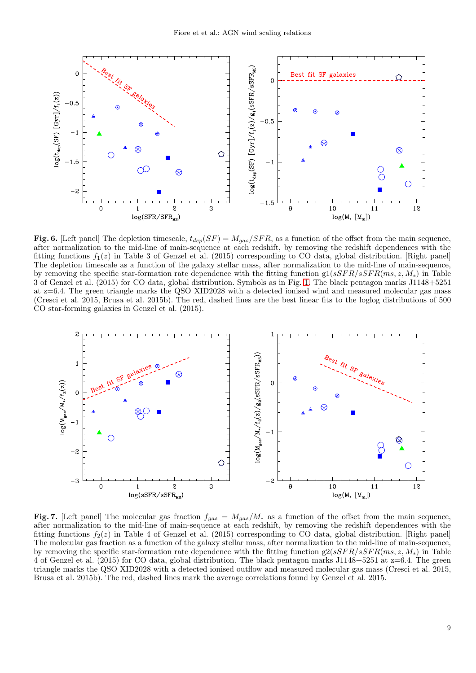

<span id="page-8-0"></span>Fig. 6. [Left panel] The depletion timescale,  $t_{dep}(SF) = M_{gas}/SFR$ , as a function of the offset from the main sequence, after normalization to the mid-line of main-sequence at each redshift, by removing the redshift dependences with the fitting functions  $f_1(z)$  in Table 3 of Genzel et al. (2015) corresponding to CO data, global distribution. [Right panel] The depletion timescale as a function of the galaxy stellar mass, after normalization to the mid-line of main-sequence, by removing the specific star-formation rate dependence with the fitting function  $g1(sSFR/sSFR(m, z, M_*)$  in Table 3 of Genzel et al. (2015) for CO data, global distribution. Symbols as in Fig. [1.](#page-3-0) The black pentagon marks J1148+5251 at z=6.4. The green triangle marks the QSO XID2028 with a detected ionised wind and measured molecular gas mass (Cresci et al. 2015, Brusa et al. 2015b). The red, dashed lines are the best linear fits to the loglog distributions of 500 CO star-forming galaxies in Genzel et al. (2015).



<span id="page-8-1"></span>Fig. 7. [Left panel] The molecular gas fraction  $f_{gas} = M_{gas}/M_{*}$  as a function of the offset from the main sequence, after normalization to the mid-line of main-sequence at each redshift, by removing the redshift dependences with the fitting functions  $f_2(z)$  in Table 4 of Genzel et al. (2015) corresponding to CO data, global distribution. [Right panel] The molecular gas fraction as a function of the galaxy stellar mass, after normalization to the mid-line of main-sequence, by removing the specific star-formation rate dependence with the fitting function  $g2(sSFR/sSFR(ms, z, M<sub>*</sub>)$  in Table 4 of Genzel et al. (2015) for CO data, global distribution. The black pentagon marks J1148+5251 at  $z=6.4$ . The green triangle marks the QSO XID2028 with a detected ionised outflow and measured molecular gas mass (Cresci et al. 2015, Brusa et al. 2015b). The red, dashed lines mark the average correlations found by Genzel et al. 2015.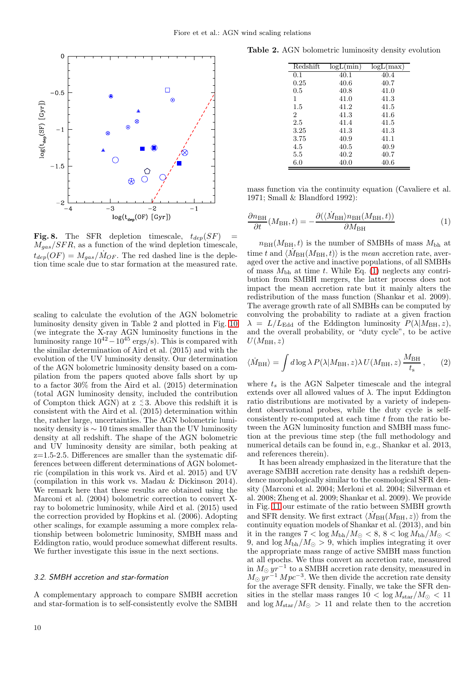

<span id="page-9-0"></span>Fig. 8. The SFR depletion timescale,  $t_{dep}(SF)$  $M_{gas}/SFR$ , as a function of the wind depletion timescale,  $t_{dep}(OF) = M_{gas}/M_{OF}$ . The red dashed line is the depletion time scale due to star formation at the measured rate.

scaling to calculate the evolution of the AGN bolometric luminosity density given in Table 2 and plotted in Fig. [10](#page-10-1) (we integrate the X-ray AGN luminosity functions in the luminosity range  $10^{42} - 10^{45}$  ergs/s). This is compared with the similar determination of Aird et al. (2015) and with the evolution of the UV luminosity density. Our determination of the AGN bolometric luminosity density based on a compilation from the papers quoted above falls short by up to a factor 30% from the Aird et al. (2015) determination (total AGN luminosity density, included the contribution of Compton thick AGN) at  $z \leq 3$ . Above this redshift it is consistent with the Aird et al. (2015) determination within the, rather large, uncertainties. The AGN bolometric luminosity density is  $\sim$  10 times smaller than the UV luminosity density at all redshift. The shape of the AGN bolometric and UV luminosity density are similar, both peaking at z=1.5-2.5. Differences are smaller than the systematic differences between different determinations of AGN bolometric (compilation in this work vs. Aird et al. 2015) and UV (compilation in this work vs. Madau & Dickinson 2014). We remark here that these results are obtained using the Marconi et al. (2004) bolometric correction to convert Xray to bolometric luminosity, while Aird et al. (2015) used the correction provided by Hopkins et al. (2006). Adopting other scalings, for example assuming a more complex relationship between bolometric luminosity, SMBH mass and Eddington ratio, would produce somewhat different results. We further investigate this issue in the next sections.

#### 3.2. SMBH accretion and star-formation

A complementary approach to compare SMBH accretion and star-formation is to self-consistently evolve the SMBH

Table 2. AGN bolometric luminosity density evolution

| Redshift       | logL(min) | logL(max) |
|----------------|-----------|-----------|
| 0.1            | 40.1      | 40.4      |
| 0.25           | 40.6      | 40.7      |
| 0.5            | 40.8      | 41.0      |
| 1              | 41.0      | 41.3      |
| 1.5            | 41.2      | 41.5      |
| $\overline{2}$ | 41.3      | 41.6      |
| 2.5            | 41.4      | 41.5      |
| 3.25           | 41.3      | 41.3      |
| 3.75           | 40.9      | 41.1      |
| 4.5            | 40.5      | 40.9      |
| 5.5            | 40.2      | 40.7      |
| 6.0            | 40.0      | 40.6      |

mass function via the continuity equation (Cavaliere et al. 1971; Small & Blandford 1992):

<span id="page-9-1"></span>
$$
\frac{\partial n_{\rm BH}}{\partial t}(M_{\rm BH},t) = -\frac{\partial (\langle \dot{M}_{\rm BH} \rangle n_{\rm BH}(M_{\rm BH},t))}{\partial M_{\rm BH}}\tag{1}
$$

 $n_{\text{BH}}(M_{\text{BH}}, t)$  is the number of SMBHs of mass  $M_{\text{bh}}$  at time t and  $\langle M_{\rm BH}(M_{\rm BH}, t) \rangle$  is the mean accretion rate, averaged over the active and inactive populations, of all SMBHs of mass  $M_{\rm bh}$  at time t. While Eq. [\(1\)](#page-9-1) neglects any contribution from SMBH mergers, the latter process does not impact the mean accretion rate but it mainly alters the redistribution of the mass function (Shankar et al. 2009). The average growth rate of all SMBHs can be computed by convolving the probability to radiate at a given fraction  $\lambda = L/L_{\text{Edd}}$  of the Eddington luminosity  $P(\lambda|M_{\text{BH}}, z)$ , and the overall probability, or "duty cycle", to be active  $U(M_{\rm BH}, z)$ 

$$
\langle \dot{M}_{\rm BH} \rangle = \int d\log \lambda \, P(\lambda | M_{\rm BH}, z) \lambda \, U(M_{\rm BH}, z) \, \frac{M_{\rm BH}}{t_{\rm s}} \,, \qquad (2)
$$

where  $t_s$  is the AGN Salpeter timescale and the integral extends over all allowed values of  $\lambda$ . The input Eddington ratio distributions are motivated by a variety of independent observational probes, while the duty cycle is selfconsistently re-computed at each time  $t$  from the ratio between the AGN luminosity function and SMBH mass function at the previous time step (the full methodology and numerical details can be found in, e.g., Shankar et al. 2013, and references therein).

It has been already emphasized in the literature that the average SMBH accretion rate density has a redshift dependence morphologically similar to the cosmological SFR density (Marconi et al. 2004; Merloni et al. 2004; Silverman et al. 2008; Zheng et al. 2009; Shankar et al. 2009). We provide in Fig. [11](#page-11-0) our estimate of the ratio between SMBH growth and SFR density. We first extract  $\langle M_{\rm BH}(M_{\rm BH}, z) \rangle$  from the continuity equation models of Shankar et al. (2013), and bin it in the ranges  $7 < \log M_{\rm bh}/M_{\odot} < 8$ ,  $8 < \log M_{\rm bh}/M_{\odot} <$ 9, and  $\log M_{\text{bh}}/M_{\odot} > 9$ , which implies integrating it over the appropriate mass range of active SMBH mass function at all epochs. We thus convert an accretion rate, measured in  $M_{\odot}$  yr<sup>-1</sup> to a SMBH accretion rate density, measured in  $M_{\odot} yr^{-1} Mpc^{-3}$ . We then divide the accretion rate density for the average SFR density. Finally, we take the SFR densities in the stellar mass ranges  $10 < \log M_{\text{star}}/M_{\odot} < 11$ and  $\log M_{\rm star}/M_{\odot} > 11$  and relate then to the accretion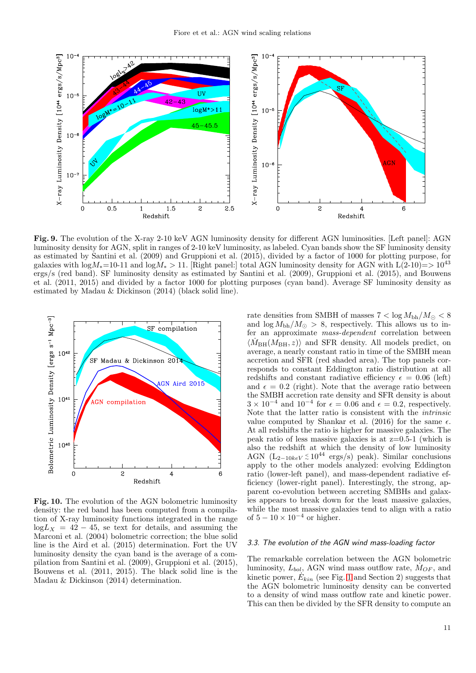

<span id="page-10-0"></span>Fig. 9. The evolution of the X-ray 2-10 keV AGN luminosity density for different AGN luminosities. [Left panel]: AGN luminosity density for AGN, split in ranges of 2-10 keV luminosity, as labeled. Cyan bands show the SF luminosity density as estimated by Santini et al. (2009) and Gruppioni et al. (2015), divided by a factor of 1000 for plotting purpose, for galaxies with  $\log M_* = 10-11$  and  $\log M_* > 11$ . [Right panel:] total AGN luminosity density for AGN with L(2-10)=> 10<sup>43</sup> ergs/s (red band). SF luminosity density as estimated by Santini et al. (2009), Gruppioni et al. (2015), and Bouwens et al. (2011, 2015) and divided by a factor 1000 for plotting purposes (cyan band). Average SF luminosity density as estimated by Madau & Dickinson (2014) (black solid line).



<span id="page-10-1"></span>Fig. 10. The evolution of the AGN bolometric luminosity density: the red band has been computed from a compilation of X-ray luminosity functions integrated in the range  $log L_X = 42 - 45$ , se text for details, and assuming the Marconi et al. (2004) bolometric correction; the blue solid line is the Aird et al. (2015) determination. Fort the UV luminosity density the cyan band is the average of a compilation from Santini et al. (2009), Gruppioni et al. (2015), Bouwens et al. (2011, 2015). The black solid line is the Madau & Dickinson (2014) determination.

rate densities from SMBH of masses  $7 < \log M_{\rm bh}/M_{\odot} < 8$ and  $\log M_{\rm bh}/M_{\odot} > 8$ , respectively. This allows us to infer an approximate mass-dependent correlation between  $\langle \dot{M}_{\text{BH}}(M_{\text{BH}}, z) \rangle$  and SFR density. All models predict, on average, a nearly constant ratio in time of the SMBH mean accretion and SFR (red shaded area). The top panels corresponds to constant Eddington ratio distribution at all redshifts and constant radiative efficiency  $\epsilon = 0.06$  (left) and  $\epsilon = 0.2$  (right). Note that the average ratio between the SMBH accretion rate density and SFR density is about  $3 \times 10^{-4}$  and  $10^{-4}$  for  $\epsilon = 0.06$  and  $\epsilon = 0.2$ , respectively. Note that the latter ratio is consistent with the intrinsic value computed by Shankar et al. (2016) for the same  $\epsilon$ . At all redshifts the ratio is higher for massive galaxies. The peak ratio of less massive galaxies is at  $z=0.5-1$  (which is also the redshift at which the density of low luminosity AGN  $(L_{2-10keV} \, \lesssim 10^{44} \, \text{ergs/s})$  peak). Similar conclusions apply to the other models analyzed: evolving Eddington ratio (lower-left panel), and mass-dependent radiative efficiency (lower-right panel). Interestingly, the strong, apparent co-evolution between accreting SMBHs and galaxies appears to break down for the least massive galaxies, while the most massive galaxies tend to align with a ratio of  $5-10 \times 10^{-4}$  or higher.

## 3.3. The evolution of the AGN wind mass-loading factor

The remarkable correlation between the AGN bolometric luminosity,  $L_{bol}$ , AGN wind mass outflow rate,  $M_{OF}$ , and kinetic power,  $\dot{E}_{kin}$  (see Fig. [1](#page-3-0) and Section 2) suggests that the AGN bolometric luminosity density can be converted to a density of wind mass outflow rate and kinetic power. This can then be divided by the SFR density to compute an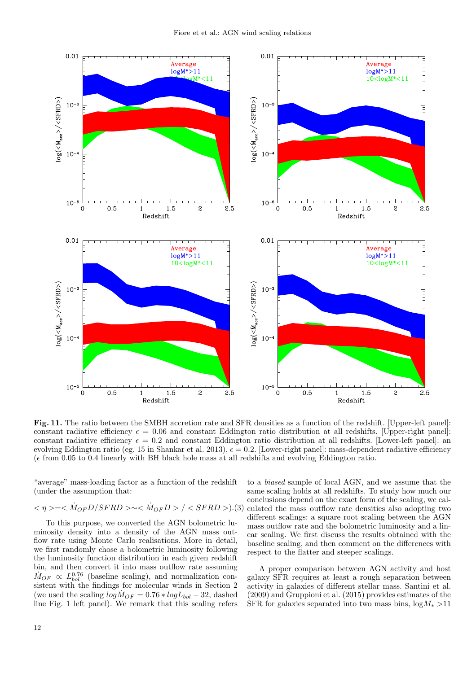

<span id="page-11-0"></span>Fig. 11. The ratio between the SMBH accretion rate and SFR densities as a function of the redshift. [Upper-left panel]: constant radiative efficiency  $\epsilon = 0.06$  and constant Eddington ratio distribution at all redshifts. [Upper-right panel]: constant radiative efficiency  $\epsilon = 0.2$  and constant Eddington ratio distribution at all redshifts. [Lower-left panel]: an evolving Eddington ratio (eg. 15 in Shankar et al. 2013),  $\epsilon = 0.2$ . [Lower-right panel]: mass-dependent radiative efficiency  $(\epsilon \text{ from } 0.05 \text{ to } 0.4 \text{ linearly with BH black hole mass at all redshifts and evolving Eddington ratio.}$ 

"average" mass-loading factor as a function of the redshift (under the assumption that:

$$
<\eta>=<\dot{M}_{OF}D/SFRD>\sim<\dot{M}_{OF}D>/)(3)
$$

To this purpose, we converted the AGN bolometric luminosity density into a density of the AGN mass outflow rate using Monte Carlo realisations. More in detail, we first randomly chose a bolometric luminosity following the luminosity function distribution in each given redshift bin, and then convert it into mass outflow rate assuming  $\dot{M}_{OF} \propto L_{bol}^{0.76}$  (baseline scaling), and normalization consistent with the findings for molecular winds in Section 2 (we used the scaling  $log \dot{M}_{OF} = 0.76 * log L_{bol} - 32$ , dashed line Fig. 1 left panel). We remark that this scaling refers to a biased sample of local AGN, and we assume that the same scaling holds at all redshifts. To study how much our conclusions depend on the exact form of the scaling, we calculated the mass outflow rate densities also adopting two different scalings: a square root scaling between the AGN mass outflow rate and the bolometric luminosity and a linear scaling. We first discuss the results obtained with the baseline scaling, and then comment on the differences with respect to the flatter and steeper scalings.

A proper comparison between AGN activity and host galaxy SFR requires at least a rough separation between activity in galaxies of different stellar mass. Santini et al. (2009) and Gruppioni et al. (2015) provides estimates of the SFR for galaxies separated into two mass bins,  $log M_* > 11$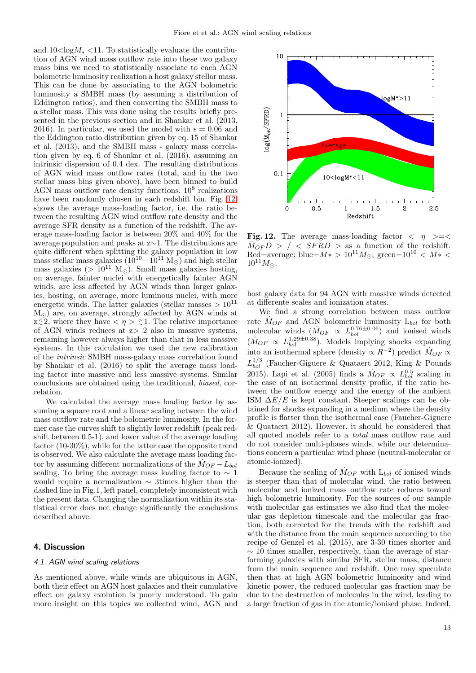and  $10 < log M_{*} < 11$ . To statistically evaluate the contribution of AGN wind mass outflow rate into these two galaxy mass bins we need to statistically associate to each AGN bolometric luminosity realization a host galaxy stellar mass. This can be done by associating to the AGN bolometric luminosity a SMBH mass (by assuming a distribution of Eddington ratios), and then converting the SMBH mass to a stellar mass. This was done using the results briefly presented in the previous section and in Shankar et al. (2013, 2016). In particular, we used the model with  $\epsilon = 0.06$  and the Eddington ratio distribution given by eq. 15 of Shankar et al. (2013), and the SMBH mass - galaxy mass correlation given by eq. 6 of Shankar et al. (2016), assuming an intrinsic dispersion of 0.4 dex. The resulting distributions of AGN wind mass outflow rates (total, and in the two stellar mass bins given above), have been binned to build AGN mass outflow rate density functions.  $10^8$  realizations have been randomly chosen in each redshift bin. Fig. [12,](#page-12-0) shows the average mass-loading factor, i.e. the ratio between the resulting AGN wind outflow rate density and the average SFR density as a function of the redshift. The average mass-loading factor is between 20% and 40% for the average population and peaks at z∼1. The distributions are quite different when splitting the galaxy population in low mass stellar mass galaxies  $(10^{10} - 10^{11} \text{ M}_{\odot})$  and high stellar mass galaxies (>  $10^{11}$  M<sub>☉</sub>). Small mass galaxies hosting, on average, fainter nuclei with energetically fainter AGN winds, are less affected by AGN winds than larger galaxies, hosting, on average, more luminous nuclei, with more energetic winds. The latter galaxies (stellar masses  $>10^{11}\,$  $M_{\odot}$ ) are, on average, strongly affected by AGN winds at  $z \leq 2$ , where they have  $\langle \eta \rangle \geq 1$ . The relative importance of AGN winds reduces at z> 2 also in massive systems, remaining however always higher than that in less massive systems. In this calculation we used the new calibration of the intrinsic SMBH mass-galaxy mass correlation found by Shankar et al. (2016) to split the average mass loading factor into massive and less massive systems. Similar conclusions are obtained using the traditional, biased, correlation.

We calculated the average mass loading factor by assuming a square root and a linear scaling between the wind mass outflow rate and the bolometric luminosity. In the former case the curves shift to slightly lower redshift (peak redshift between 0.5-1), and lower value of the average loading factor (10-30%), while for the latter case the opposite trend is observed. We also calculate the average mass loading factor by assuming different normalizations of the  $\dot{M}_{OF} - L_{bol}$ scaling. To bring the average mass loading factor to  $\sim 1$ would require a normalization ∼ 3times higher than the dashed line in Fig.1, left panel, completely inconsistent with the present data. Changing the normalization within its statistical error does not change significantly the conclusions described above.

## 4. Discussion

# 4.1. AGN wind scaling relations

As mentioned above, while winds are ubiquitous in AGN, both their effect on AGN host galaxies and their cumulative effect on galaxy evolution is poorly understood. To gain more insight on this topics we collected wind, AGN and



<span id="page-12-0"></span>**Fig. 12.** The average mass-loading factor  $\langle \eta \rangle = \langle \rangle$  $\dot{M}_{OF}D$  > / < SFRD > as a function of the redshift. Red=average; blue= $M* > 10^{11} M_{\odot}$ ; green= $10^{10} < M* <$  $10^{11} M_{\odot}$ .

host galaxy data for 94 AGN with massive winds detected at differente scales and ionization states.

We find a strong correlation between mass outflow rate  $\dot{M}_{OF}$  and AGN bolometric luminosity  $L_{bol}$  for both molecular winds  $(M_{OF} \propto L_{bol}^{0.76 \pm 0.06})$  and ionised winds  $(M_{OF} \propto L_{bol}^{1.29 \pm 0.38})$ . Models implying shocks expanding into an isothermal sphere (density  $\propto R^{-2}$ ) predict  $\dot{M}_{OF} \propto$  $L_{bol}^{1/3}$  (Faucher-Giguere & Quataert 2012, King & Pounds 2015). Lapi et al. (2005) finds a  $\dot{M}_{OF} \propto L_{bol}^{0.5}$  scaling in the case of an isothermal density profile, if the ratio between the outflow energy and the energy of the ambient ISM  $\Delta E/E$  is kept constant. Steeper scalings can be obtained for shocks expanding in a medium where the density profile is flatter than the isothermal case (Faucher-Giguere & Quataert 2012). However, it should be considered that all quoted models refer to a total mass outflow rate and do not consider multi-phases winds, while our determinations concern a particular wind phase (neutral-molecular or atomic-ionized).

Because the scaling of  $\dot{M}_{OF}$  with  $L_{bol}$  of ionised winds is steeper than that of molecular wind, the ratio between molecular and ionized mass outflow rate reduces toward high bolometric luminosity. For the sources of our sample with molecular gas estimates we also find that the molecular gas depletion timescale and the molecular gas fraction, both corrected for the trends with the redshift and with the distance from the main sequence according to the recipe of Genzel et al. (2015), are 3-30 times shorter and  $\sim$  10 times smaller, respectively, than the average of starforming galaxies with similar SFR, stellar mass, distance from the main sequence and redshift. One may speculate then that at high AGN bolometric luminosity and wind kinetic power, the reduced molecular gas fraction may be due to the destruction of molecules in the wind, leading to a large fraction of gas in the atomic/ionised phase. Indeed,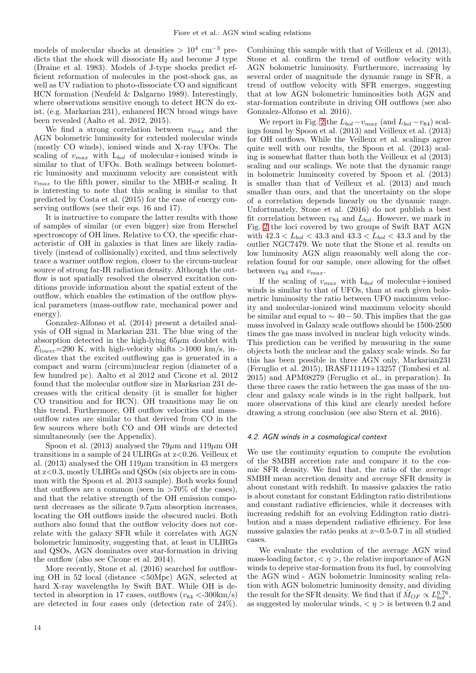models of molecular shocks at densities  $> 10^4$  cm<sup>-3</sup> predicts that the shock will dissociate  $H_2$  and become J type (Draine et al. 1983). Models of J-type shocks predict efficient reformation of molecules in the post-shock gas, as well as UV radiation to photo-dissociate CO and significant HCN formation (Neufeld & Dalgarno 1989). Interestingly, where observations sensitive enough to detect HCN do exist, (e.g. Markarian 231), enhanced HCN broad wings have been revealed (Aalto et al. 2012, 2015).

We find a strong correlation between  $v_{max}$  and the AGN bolometric luminosity for extended molecular winds (mostly CO winds), ionised winds and X-ray UFOs. The scaling of  $v_{max}$  with  $L_{bol}$  of molecular+ionised winds is similar to that of UFOs. Both scalings between bolometric luminosity and maximum velocity are consistent with  $v_{max}$  to the fifth power, similar to the MBH- $\sigma$  scaling. It is interesting to note that this scaling is similar to that predicted by Costa et al. (2015) for the case of energy conserving outflows (see their eqs. 16 and 17).

It is instructive to compare the latter results with those of samples of similar (or even bigger) size from Herschel spectroscopy of OH lines. Relative to CO, the specific characteristic of OH in galaxies is that lines are likely radiatively (instead of collisionally) excited, and thus selectively trace a warmer outflow region, closer to the circum-nuclear source of strong far-IR radiation density. Although the outflow is not spatially resolved the observed excitation conditions provide information about the spatial extent of the outflow, which enables the estimation of the outflow physical parameters (mass-outflow rate, mechanical power and energy).

Gonzalez-Alfonso et al. (2014) present a detailed analysis of OH signal in Markarian 231. The blue wing of the absorption detected in the high-lying  $65\mu$ m doublet with  $E_{lower}$ =290 K, with high-velocity shifts >1000 km/s, indicates that the excited outflowing gas is generated in a compact and warm (circum)nuclear region (diameter of a few hundred pc). Aalto et al 2012 and Cicone et al. 2012 found that the molecular outflow size in Markarian 231 decreases with the critical density (it is smaller for higher CO transition and for HCN). OH transitions may lie on this trend. Furthermore, OH outflow velocities and massoutflow rates are similar to that derived from CO in the few sources where both CO and OH winds are detected simultaneously (see the Appendix).

Spoon et al. (2013) analysed the  $79\mu$ m and  $119\mu$ m OH transitions in a sample of 24 ULIRGs at  $z < 0.26$ . Veilleux et al. (2013) analysed the OH 119 $\mu$ m transition in 43 mergers at z<0.3, mostly ULIRGs and QSOs (six objects are in common with the Spoon et al. 2013 sample). Both works found that outflows are a common (seen in  $>70\%$  of the cases), and that the relative strength of the OH emission component decreases as the silicate  $9.7\mu$ m absorption increases, locating the OH outflows inside the obscured nuclei. Both authors also found that the outflow velocity does not correlate with the galaxy SFR while it correlates with AGN bolometric luminosity, suggesting that, at least in ULIRGs and QSOs, AGN dominates over star-formation in driving the outflow (also see Cicone et al. 2014).

More recently, Stone et al. (2016) searched for outflowing OH in 52 local (distance <50Mpc) AGN, selected at hard X-ray wavelengths by Swift BAT. While OH is detected in absorption in 17 cases, outflows  $(v_{84} < 300 \text{km/s})$ are detected in four cases only (detection rate of 24%). Combining this sample with that of Veilleux et al. (2013), Stone et al. confirm the trend of outflow velocity with AGN bolometric luminosity. Furthermore, increasing by several order of magnitude the dynamic range in SFR, a trend of outflow velocity with SFR emerges, suggesting that at low AGN bolometric luminosities both AGN and star-formation contribute in driving OH outflows (see also Gonzalez-Alfonso et al. 2016).

We report in Fig. [2](#page-4-0) the  $L_{bol}-v_{max}$  (and  $L_{bol}-v_{84}$ ) scalings found by Spoon et al. (2013) and Veilleux et al. (2013) for OH outflows. While the Veilleux et al. scalings agree quite well with our results, the Spoon et al. (2013) scaling is somewhat flatter than both the Veilleux et al (2013) scaling and our scalings. We note that the dynamic range in bolometric luminosity covered by Spoon et al. (2013) is smaller than that of Veilleux et al. (2013) and much smaller than ours, and that the uncertainty on the slope of a correlation depends linearly on the dynamic range. Unfortunately, Stone et al. (2016) do not publish a best fit correlation between  $v_{84}$  and  $L_{bol}$ . However, we mark in Fig. [2](#page-4-0) the loci covered by two groups of Swift BAT AGN with  $42.3 < L_{bol} < 43.3$  and  $43.3 < L_{bol} < 43.3$  and by the outlier NGC7479. We note that the Stone et al. results on low luminosity AGN align reasonably well along the correlation found for our sample, once allowing for the offset between  $v_{84}$  and  $v_{max}$ .

If the scaling of  $v_{max}$  with  $L_{bol}$  of molecular+ionised winds is similar to that of UFOs, than at each given bolometric luminosity the ratio between UFO maximum velocity and molecular-ionized wind maximum velocity should be similar and equal to  $\sim$  40 – 50. This implies that the gas mass involved in Galaxy scale outflows should be 1500-2500 times the gas mass involved in nuclear high velocity winds. This prediction can be verified by measuring in the same objects both the nuclear and the galaxy scale winds. So far this has been possible in three AGN only, Markarian231 (Feruglio et al. 2015), IRASF11119+13257 (Tombesi et al. 2015) and APM08279 (Feruglio et al., in preparation). In these three cases the ratio between the gas mass of the nuclear and galaxy scale winds is in the right ballpark, but more observations of this kind are clearly needed before drawing a strong conclusion (see also Stern et al. 2016).

#### 4.2. AGN winds in a cosmological context

We use the continuity equation to compute the evolution of the SMBH accretion rate and compare it to the cosmic SFR density. We find that, the ratio of the average SMBH mean accretion density and average SFR density is about constant with redshift. In massive galaxies the ratio is about constant for constant Eddington ratio distributions and constant radiative efficiencies, while it decreases with increasing redshift for an evolving Eddington ratio distribution and a mass dependent radiative efficiency. For less massive galaxies the ratio peaks at z∼0.5-0.7 in all studied cases.

We evaluate the evolution of the average AGN wind mass-loading factor,  $\langle \eta \rangle$ , the relative importance of AGN winds to deprive star-formation from its fuel, by convolving the AGN wind - AGN bolometric luminosity scaling relation with AGN bolometric luminosity density, and dividing the result for the SFR density. We find that if  $\dot{M}_{OF} \propto L_{bol}^{0.76}$ , as suggested by molecular winds,  $\langle \eta \rangle$  is between 0.2 and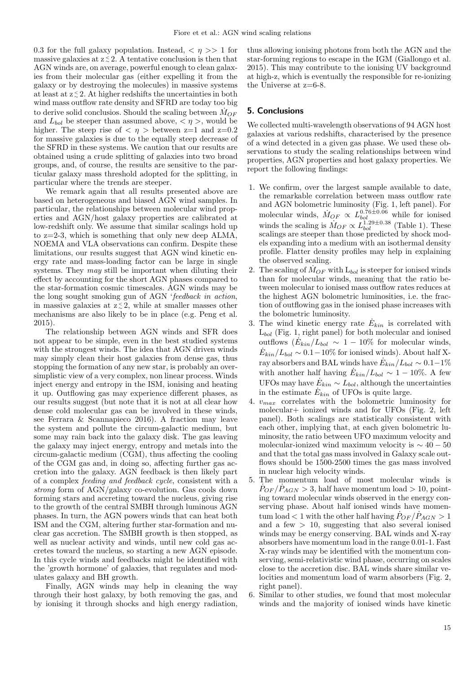0.3 for the full galaxy population. Instead,  $\langle \eta \rangle > 1$  for massive galaxies at  $z \leq 2$ . A tentative conclusion is then that AGN winds are, on average, powerful enough to clean galaxies from their molecular gas (either expelling it from the galaxy or by destroying the molecules) in massive systems at least at  $z \leq 2$ . At higher redshifts the uncertainties in both wind mass outflow rate density and SFRD are today too big to derive solid conclusios. Should the scaling between  $\dot{M}_{OF}$ and  $L_{bol}$  be steeper than assumed above,  $\langle \eta \rangle$ , would be higher. The steep rise of  $\langle \eta \rangle$  between z=1 and z=0.2 for massive galaxies is due to the equally steep decrease of the SFRD in these systems. We caution that our results are obtained using a crude splitting of galaxies into two broad groups, and, of course, the results are sensitive to the particular galaxy mass threshold adopted for the splitting, in particular where the trends are steeper.

We remark again that all results presented above are based on heterogeneous and biased AGN wind samples. In particular, the relationships between molecular wind properties and AGN/host galaxy properties are calibrated at low-redshift only. We assume that similar scalings hold up to  $z=2-3$ , which is something that only new deep ALMA, NOEMA and VLA observations can confirm. Despite these limitations, our results suggest that AGN wind kinetic energy rate and mass-loading factor can be large in single systems. They *may* still be important when diluting their effect by accounting for the short AGN phases compared to the star-formation cosmic timescales. AGN winds may be the long sought smoking gun of AGN 'feedback in action, in massive galaxies at  $z \leq 2$ , while at smaller masses other mechanisms are also likely to be in place (e.g. Peng et al. 2015).

The relationship between AGN winds and SFR does not appear to be simple, even in the best studied systems with the strongest winds. The idea that AGN driven winds may simply clean their host galaxies from dense gas, thus stopping the formation of any new star, is probably an oversimplistic view of a very complex, non linear process. Winds inject energy and entropy in the ISM, ionising and heating it up. Outflowing gas may experience different phases, as our results suggest (but note that it is not at all clear how dense cold molecular gas can be involved in these winds, see Ferrara & Scannapieco 2016). A fraction may leave the system and pollute the circum-galactic medium, but some may rain back into the galaxy disk. The gas leaving the galaxy may inject energy, entropy and metals into the circum-galactic medium (CGM), thus affecting the cooling of the CGM gas and, in doing so, affecting further gas accretion into the galaxy. AGN feedback is then likely part of a complex feeding and feedback cycle, consistent with a strong form of AGN/galaxy co-evolution. Gas cools down forming stars and accreting toward the nucleus, giving rise to the growth of the central SMBH through luminous AGN phases. In turn, the AGN powers winds that can heat both ISM and the CGM, altering further star-formation and nuclear gas accretion. The SMBH growth is then stopped, as well as nuclear activity and winds, until new cold gas accretes toward the nucleus, so starting a new AGN episode. In this cycle winds and feedbacks might be identified with the 'growth hormone' of galaxies, that regulates and modulates galaxy and BH growth.

Finally, AGN winds may help in cleaning the way through their host galaxy, by both removing the gas, and by ionising it through shocks and high energy radiation, thus allowing ionising photons from both the AGN and the star-forming regions to escape in the IGM (Giallongo et al. 2015). This may contribute to the ionising UV background at high-z, which is eventually the responsible for re-ionizing the Universe at  $z=6-8$ .

# 5. Conclusions

We collected multi-wavelength observations of 94 AGN host galaxies at various redshifts, characterised by the presence of a wind detected in a given gas phase. We used these observations to study the scaling relationships between wind properties, AGN properties and host galaxy properties. We report the following findings:

- 1. We confirm, over the largest sample available to date, the remarkable correlation between mass outflow rate and AGN bolometric luminosity (Fig. 1, left panel). For molecular winds,  $\dot{M}_{OF} \propto L_{bol}^{0.76 \pm 0.06}$  while for ionised winds the scaling is  $M_{OF} \propto L_{bol}^{1.29 \pm 0.38}$  (Table 1). These scalings are steeper than those predicted by shock models expanding into a medium with an isothermal density profile. Flatter density profiles may help in explaining the observed scaling.
- 2. The scaling of  $\dot{M}_{OF}$  with  $L_{bol}$  is steeper for ionised winds than for molecular winds, meaning that the ratio between molecular to ionised mass outflow rates reduces at the highest AGN bolometric luminosities, i.e. the fraction of outflowing gas in the ionised phase increases with the bolometric luminosity.
- 3. The wind kinetic energy rate  $\dot{E}_{kin}$  is correlated with  $L_{bol}$  (Fig. 1, right panel) for both molecular and ionised outflows  $(\dot{E}_{kin}/L_{bol} \sim 1 - 10\%$  for molecular winds,  $\dot{E}_{kin}/L_{bol} \sim 0.1 - 10\%$  for ionised winds). About half Xray absorbers and BAL winds have  $\dot{E}_{kin}/L_{bol} \sim 0.1-1\%$ with another half having  $\dot{E}_{kin}/L_{bol} \sim 1 - 10\%$ . A few UFOs may have  $\dot{E}_{kin} \sim L_{bol}$ , although the uncertainties in the estimate  $\dot{E}_{kin}$  of UFOs is quite large.
- 4.  $v_{max}$  correlates with the bolometric luminosity for molecular+ ionized winds and for UFOs (Fig. 2, left panel). Both scalings are statistically consistent with each other, implying that, at each given bolometric luminosity, the ratio between UFO maximum velocity and molecular-ionized wind maximum velocity is  $\sim 40 - 50$ and that the total gas mass involved in Galaxy scale outflows should be 1500-2500 times the gas mass involved in nuclear high velocity winds.
- 5. The momentum load of most molecular winds is  $P_{OF}/P_{AGN} > 3$ , half have momentum load  $> 10$ , pointing toward molecular winds observed in the energy conserving phase. About half ionised winds have momentum load  $< 1$  with the other half having  $P_{OF}/P_{AGN} > 1$ and a few  $> 10$ , suggesting that also several ionised winds may be energy conserving. BAL winds and X-ray absorbers have momentum load in the range 0.01-1. Fast X-ray winds may be identified with the momentum conserving, semi-relativistic wind phase, occurring on scales close to the accretion disc. BAL winds share similar velocities and momentum load of warm absorbers (Fig. 2, right panel).
- 6. Similar to other studies, we found that most molecular winds and the majority of ionised winds have kinetic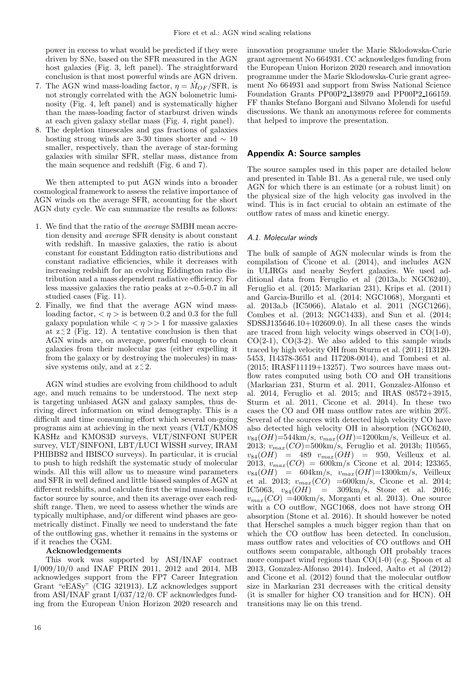power in excess to what would be predicted if they were driven by SNe, based on the SFR measured in the AGN host galaxies (Fig. 3, left panel). The straightforward conclusion is that most powerful winds are AGN driven.

- 7. The AGN wind mass-loading factor,  $\eta = \dot{M}_{OF}/\text{SFR}$ , is not strongly correlated with the AGN bolometric luminosity (Fig. 4, left panel) and is systematically higher than the mass-loading factor of starburst driven winds at each given galaxy stellar mass (Fig. 4, right panel).
- 8. The depletion timescales and gas fractions of galaxies hosting strong winds are 3-30 times shorter and  $\sim 10$ smaller, respectively, than the average of star-forming galaxies with similar SFR, stellar mass, distance from the main sequence and redshift (Fig. 6 and 7).

We then attempted to put AGN winds into a broader cosmological framework to assess the relative importance of AGN winds on the average SFR, accounting for the short AGN duty cycle. We can summarize the results as follows:

- 1. We find that the ratio of the average SMBH mean accretion density and average SFR density is about constant with redshift. In massive galaxies, the ratio is about constant for constant Eddington ratio distributions and constant radiative efficiencies, while it decreases with increasing redshift for an evolving Eddington ratio distribution and a mass dependent radiative efficiency. For less massive galaxies the ratio peaks at z∼0.5-0.7 in all studied cases (Fig. 11).
- 2. Finally, we find that the average AGN wind massloading factor,  $\langle \eta \rangle$  is between 0.2 and 0.3 for the full galaxy population while  $\langle \eta \rangle > 1$  for massive galaxies at  $z \leq 2$  (Fig. 12). A tentative conclusion is then that AGN winds are, on average, powerful enough to clean galaxies from their molecular gas (either expelling it from the galaxy or by destroying the molecules) in massive systems only, and at  $z \leq 2$ .

AGN wind studies are evolving from childhood to adult age, and much remains to be understood. The next step is targeting unbiased AGN and galaxy samples, thus deriving direct information on wind demography. This is a difficult and time consuming effort which several on-going programs aim at achieving in the next years (VLT/KMOS KASHz and KMOS3D surveys, VLT/SINFONI SUPER survey, VLT/SINFONI, LBT/LUCI WISSH survey, IRAM PHIBBS2 and IBISCO surveys). In particular, it is crucial to push to high redshift the systematic study of molecular winds. All this will allow us to measure wind parameters and SFR in well defined and little biased samples of AGN at different redshifts, and calculate first the wind mass-loading factor source by source, and then its average over each redshift range. Then, we need to assess whether the winds are typically multiphase, and/or different wind phases are geometrically distinct. Finally we need to understand the fate of the outflowing gas, whether it remains in the systems or if it reaches the CGM.

#### Acknowledgements

This work was supported by ASI/INAF contract  $I/009/10/0$  and INAF PRIN 2011, 2012 and 2014. MB acknowledges support from the FP7 Career Integration Grant "eEASy" (CIG 321913). LZ acknowledges support from ASI/INAF grant I/037/12/0. CF acknowledges funding from the European Union Horizon 2020 research and innovation programme under the Marie Sklodowska-Curie grant agreement No 664931. CC acknowledges funding from the European Union Horizon 2020 research and innovation programme under the Marie Sklodowska-Curie grant agreement No 664931 and support from Swiss National Science Foundation Grants PP00P2 138979 and PP00P2 166159. FF thanks Stefano Borgani and Silvano Molendi for useful discussions. We thank an anonymous referee for comments that helped to improve the presentation.

# Appendix A: Source samples

The source samples used in this paper are detailed below and presented in Table B1. As a general rule, we used only AGN for which there is an estimate (or a robust limit) on the physical size of the high velocity gas involved in the wind. This is in fact crucial to obtain an estimate of the outflow rates of mass and kinetic energy.

#### A.1. Molecular winds

The bulk of sample of AGN molecular winds is from the compilation of Cicone et al. (2014), and includes AGN in ULIRGs and nearby Seyfert galaxies. We used additional data from Feruglio et al (2013a,b: NGC6240), Feruglio et al. (2015: Markarian 231), Krips et al. (2011) and Garcia-Burillo et al. (2014; NGC1068), Morganti et al. 2013a,b (IC5066), Alatalo et al. 2011 (NGC1266), Combes et al. (2013; NGC1433), and Sun et al. (2014; SDSSJ135646.10+102609.0). In all these cases the winds are traced from high velocity wings observed in CO(1-0),  $CO(2-1)$ ,  $CO(3-2)$ . We also added to this sample winds traced by high velocity OH from Sturm et al. (2011; I13120- 5453, I14378-3651 and I17208-0014), and Tombesi et al.  $(2015; IRAST11119+13257)$ . Two sources have mass outflow rates computed using both CO and OH transitions (Markarian 231, Sturm et al. 2011, Gonzalez-Alfonso et al. 2014, Feruglio et al. 2015; and IRAS 08572+3915, Sturm et al. 2011, Cicone et al. 2014). In these two cases the CO and OH mass outflow rates are within 20%. Several of the sources with detected high velocity CO have also detected high velocity OH in absorption (NGC6240,  $v_{84}(OH)=544 \text{km/s}, v_{max}(OH)=1200 \text{km/s},$  Veilleux et al. 2013;  $v_{max}(CO) = 500 \text{km/s}$ , Feruglio et al. 2013b; I10565,  $v_{84}(OH) = 489 v_{max}(OH) = 950$ , Veilleux et al. 2013,  $v_{max}(CO) = 600 \text{km/s}$  Cicone et al. 2014; I23365,  $v_{84}(OH) = 604 \text{km/s}, v_{max}(OH) = 1300 \text{km/s},$  Veilleux et al. 2013;  $v_{max}(CO) = 600 \text{km/s}$ , Cicone et al. 2014;<br>IC5063,  $v_{84}(OH) = 309 \text{km/s}$ , Stone et al. 2016;  $=$  309km/s, Stone et al. 2016;  $v_{max}(CO) = 400 \text{km/s}$ , Morganti et al. 2013). One source with a CO outflow, NGC1068, does not have strong OH absorption (Stone et al. 2016). It should however be noted that Herschel samples a much bigger region than that on which the CO outflow has been detected. In conclusion, mass outflow rates and velocities of CO outflows and OH outflows seem comparable, although OH probably traces more compact wind regions than CO(1-0) (e.g. Spoon et al 2013, Gonzalez-Alfonso 2014). Indeed, Aalto et al (2012) and Cicone et al. (2012) found that the molecular outflow size in Markarian 231 decreases with the critical density (it is smaller for higher CO transition and for HCN). OH transitions may lie on this trend.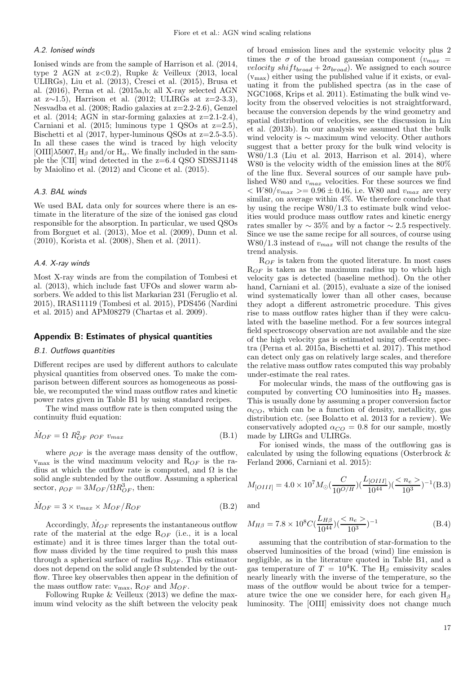# A.2. Ionised winds

Ionised winds are from the sample of Harrison et al. (2014, type 2 AGN at  $z<0.2$ ), Rupke & Veilleux (2013, local ULIRGs), Liu et al. (2013), Cresci et al. (2015), Brusa et al. (2016), Perna et al. (2015a,b; all X-ray selected AGN at z∼1.5), Harrison et al. (2012; ULIRGs at z=2-3.3), Nesvadba et al. (2008; Radio galaxies at z=2.2-2.6), Genzel et al.  $(2014; \text{AGN}$  in star-forming galaxies at  $z=2.1-2.4$ ), Carniani et al.  $(2015;$  luminous type 1 QSOs at  $z=2.5$ ), Bischetti et al  $(2017, \text{hyper-luminous QSOs at } z=2.5-3.5)$ . In all these cases the wind is traced by high velocity [OIII] $\lambda$ 5007, H<sub>β</sub> and/or H<sub>α</sub>. We finally included in the sample the [CII] wind detected in the z=6.4 QSO SDSSJ1148 by Maiolino et al. (2012) and Cicone et al. (2015).

# A.3. BAL winds

We used BAL data only for sources where there is an estimate in the literature of the size of the ionised gas cloud responsible for the absorption. In particular, we used QSOs from Borguet et al. (2013), Moe et al. (2009), Dunn et al. (2010), Korista et al. (2008), Shen et al. (2011).

#### A.4. X-ray winds

Most X-ray winds are from the compilation of Tombesi et al. (2013), which include fast UFOs and slower warm absorbers. We added to this list Markarian 231 (Feruglio et al. 2015), IRAS11119 (Tombesi et al. 2015), PDS456 (Nardini et al. 2015) and APM08279 (Chartas et al. 2009).

# Appendix B: Estimates of physical quantities

#### B.1. Outflows quantities

Different recipes are used by different authors to calculate physical quantities from observed ones. To make the comparison between different sources as homogeneous as possible, we recomputed the wind mass outflow rates and kinetic power rates given in Table B1 by using standard recipes.

The wind mass outflow rate is then computed using the continuity fluid equation:

$$
\dot{M}_{OF} = \Omega R_{OF}^2 \rho_{OF} v_{max}
$$
\n(B.1)

where  $\rho_{OF}$  is the average mass density of the outflow,  $v_{\text{max}}$  is the wind maximum velocity and  $R_{OF}$  is the radius at which the outflow rate is computed, and  $\Omega$  is the solid angle subtended by the outflow. Assuming a spherical sector,  $\rho_{OF} = 3M_{OF}/\Omega R_{OF}^3$ , then:

$$
\dot{M}_{OF} = 3 \times v_{max} \times M_{OF}/R_{OF}
$$
\n(B.2)

Accordingly,  $M_{OF}$  represents the instantaneous outflow rate of the material at the edge  $R_{OF}$  (i.e., it is a local estimate) and it is three times larger than the total outflow mass divided by the time required to push this mass through a spherical surface of radius  $R_{OF}$ . This estimator does not depend on the solid angle  $\Omega$  subtended by the outflow. Three key observables then appear in the definition of the mass outflow rate:  $v_{\text{max}}$ ,  $R_{OF}$  and  $M_{OF}$ .

Following Rupke & Veilleux (2013) we define the maximum wind velocity as the shift between the velocity peak of broad emission lines and the systemic velocity plus 2 times the  $\sigma$  of the broad gaussian component ( $v_{max}$  = velocity shift<sub>broad</sub> +  $2\sigma_{broad}$ ). We assigned to each source  $(v<sub>max</sub>)$  either using the published value if it exists, or evaluating it from the published spectra (as in the case of NGC1068, Krips et al. 2011). Estimating the bulk wind velocity from the observed velocities is not straightforward, because the conversion depends by the wind geometry and spatial distribution of velocities, see the discussion in Liu et al. (2013b). In our analysis we assumed that the bulk wind velocity is ∼ maximum wind velocity. Other authors suggest that a better proxy for the bulk wind velocity is W80/1.3 (Liu et al. 2013, Harrison et al. 2014), where W80 is the velocity width of the emission lines at the 80% of the line flux. Several sources of our sample have published W80 and  $v_{max}$  velocities. For these sources we find  $\langle W80/v_{max}\rangle = 0.96 \pm 0.16$ , i.e. W80 and  $v_{max}$  are very similar, on average within 4%. We therefore conclude that by using the recipe W80/1.3 to estimate bulk wind velocities would produce mass outflow rates and kinetic energy rates smaller by  $\sim 35\%$  and by a factor  $\sim 2.5$  respectively. Since we use the same recipe for all sources, of course using  $W80/1.3$  instead of  $v_{max}$  will not change the results of the trend analysis.

 $\mathbf{R}_{OF}$  is taken from the quoted literature. In most cases  $R_{OF}$  is taken as the maximum radius up to which high velocity gas is detected (baseline method). On the other hand, Carniani et al. (2015), evaluate a size of the ionised wind systematically lower than all other cases, because they adopt a different astrometric procedure. This gives rise to mass outflow rates higher than if they were calculated with the baseline method. For a few sources integral field spectroscopy observation are not available and the size of the high velocity gas is estimated using off-centre spectra (Perna et al. 2015a, Bischetti et al. 2017). This method can detect only gas on relatively large scales, and therefore the relative mass outflow rates computed this way probably under-estimate the real rates.

For molecular winds, the mass of the outflowing gas is computed by converting  $CO$  luminosities into  $H_2$  masses. This is usually done by assuming a proper conversion factor  $\alpha_{CO}$ , which can be a function of density, metallicity, gas distribution etc. (see Bolatto et al. 2013 for a review). We conservatively adopted  $\alpha_{CO} = 0.8$  for our sample, mostly made by LIRGs and ULIRGs.

For ionised winds, the mass of the outflowing gas is calculated by using the following equations (Osterbrock & Ferland 2006, Carniani et al. 2015):

$$
M_{[OIII]} = 4.0 \times 10^7 M_{\odot} \left(\frac{C}{10^{O/H}}\right) \left(\frac{L_{[OIII]}}{10^{44}}\right) \left(\frac{}{10^3}\right)^{-1} \text{(B.3)}
$$

and

$$
M_{H\beta} = 7.8 \times 10^8 C \left(\frac{L_{H\beta}}{10^{44}}\right) \left(\frac{R}{10^3}\right)^{-1} \tag{B.4}
$$

assuming that the contribution of star-formation to the observed luminosities of the broad (wind) line emission is negligible, as in the literature quoted in Table B1, and a gas temperature of  $T = 10^4$ K. The H<sub>β</sub> emissivity scales nearly linearly with the inverse of the temperature, so the mass of the outflow would be about twice for a temperature twice the one we consider here, for each given  $H_\beta$ luminosity. The [OIII] emissivity does not change much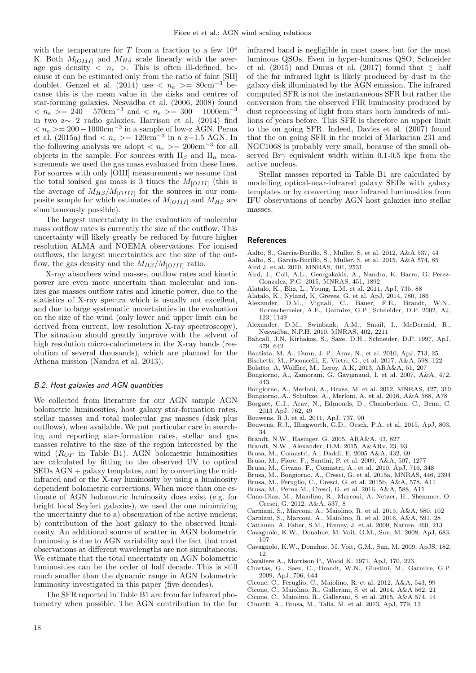with the temperature for T from a fraction to a few  $10^4$ K. Both  $M_{[OIII]}$  and  $M_{H\beta}$  scale linearly with the average gas density  $\langle n_e \rangle$ . This is often ill-defined, because it can be estimated only from the ratio of faint [SII] doublet. Genzel et al. (2014) use  $\langle n_e \rangle = 80 \text{cm}^{-3}$  because this is the mean value in the disks and centres of star-forming galaxies. Nesvadba et al. (2006, 2008) found  $n_e$  >= 240 – 570cm<sup>-3</sup> and <  $n_e$  >= 300 – 1000cm<sup>-3</sup> in two z∼ 2 radio galaxies. Harrison et al. (2014) find  $\langle n_e \rangle = 200-1000$ cm<sup>-3</sup> in a sample of low-z AGN. Perna et al. (2015a) find  $\langle n_e \rangle = 120 \text{cm}^{-3}$  in a z=1.5 AGN. In the following analysis we adopt  $\langle n_e \rangle = 200 \text{cm}^{-3}$  for all objects in the sample. For sources with  $H_\beta$  and  $H_\alpha$  measurements we used the gas mass evaluated from these lines. For sources with only [OIII] measurements we assume that the total ionised gas mass is 3 times the  $M_{[OIII]}$  (this is the average of  $M_{H\beta}/M_{[OIII]}$  for the sources in our composite sample for which estimates of  $M_{[OIII]}$  and  $M_{H\beta}$  are simultaneously possible).

The largest uncertainty in the evaluation of molecular mass outflow rates is currently the size of the outflow. This uncertainty will likely greatly be reduced by future higher resolution ALMA and NOEMA observations. For ionised outflows, the largest uncertainties are the size of the outflow, the gas density and the  $M_{H\beta}/M_{[OIII]}$  ratio.

X-ray absorbers wind masses, outflow rates and kinetic power are even more uncertain than molecular and ionizes gas masses outflow rates and kinetic power, due to the statistics of X-ray spectra which is usually not excellent, and due to large systematic uncertainties in the evaluation on the size of the wind (only lower and upper limit can be derived from current, low resolution X-ray spectroscopy). The situation should greatly improve with the advent of high resolution micro-calorimeters in the X-ray bands (resolution of several thousands), which are planned for the Athena mission (Nandra et al. 2013).

#### B.2. Host galaxies and AGN quantities

We collected from literature for our AGN sample AGN bolometric luminosities, host galaxy star-formation rates, stellar masses and total molecular gas masses (disk plus outflows), when available. We put particular care in searching and reporting star-formation rates, stellar and gas masses relative to the size of the region interested by the wind  $(R_{OF}$  in Table B1). AGN bolometric luminosities are calculated by fitting to the observed UV to optical  $SEDs AGN + galaxy templates, and by converting the mid$ infrared and or the X-ray luminosity by using a luminosity dependent bolometric corrections. When more than one estimate of AGN bolometric luminosity does exist (e.g. for bright local Seyfert galaxies), we used the one minimizing the uncertainty due to a) obscuration of the active nucleus; b) contribution of the host galaxy to the observed luminosity. An additional source of scatter in AGN bolometric luminosity is due to AGN variability and the fact that most observations at different wavelengths are not simultaneous. We estimate that the total uncertainty on AGN bolometric luminosities can be the order of half decade. This is still much smaller than the dynamic range in AGN bolometric luminosity investigated in this paper (five decades).

The SFR reported in Table B1 are from far infrared photometry when possible. The AGN contribution to the far infrared band is negligible in most cases, but for the most luminous QSOs. Even in hyper-luminous QSO, Schneider et al. (2015) and Duras et al. (2017) found that  $\leq$  half of the far infrared light is likely produced by dust in the galaxy disk illuminated by the AGN emission. The infrared computed SFR is not the instantaneous SFR but rather the conversion from the observed FIR luminosity produced by dust reprocessing of light from stars born hundreds of millions of years before. This SFR is therefore an upper limit to the on going SFR. Indeed, Davies et al. (2007) found that the on going SFR in the nuclei of Markarian 231 and NGC1068 is probably very small, because of the small observed Br $\gamma$  equivalent width within 0.1-0.5 kpc from the active nucleus.

Stellar masses reported in Table B1 are calculated by modelling optical-near-infrared galaxy SEDs with galaxy templates or by converting near infrared luminosities from IFU observations of nearby AGN host galaxies into stellar masses.

## **References**

- Aalto, S., Garcia-Burillo, S., Muller, S. et al. 2012, A&A 537, 44
- Aalto, S., Garcia-Burillo, S., Muller, S. et al. 2015, A&A 574, 85
- Aird J. et al. 2010, MNRAS, 401, 2531
- Aird, J., Coil, A.L., Georgakakis, A., Nandra, K. Barro, G. Perez-Gonzalez, P.G. 2015, MNRAS, 451, 1892
- Alatalo, K., Bliz, L., Young, L.M. et al. 2011, ApJ, 735, 88
- Alatalo, K., Nyland, K, Greves, G. et al. ApJ, 2014, 780, 186
- Alexander, D.M., Vignali, C., Bauer, F.E., Brandt, W.N. Hornschemeier, A.E., Garmire, G.P., Schneider, D.P. 2002, AJ, 123, 1149
- Alexander, D.M., Swinbank, A.M., Smail, I., McDermid, R., Nesvadba, N.P.H. 2010, MNRAS, 402, 2211
- Bahcall, J.N, Kirhakos, S., Saxe, D.H., Schneider, D.P. 1997, ApJ, 479, 642
- Bautista, M. A., Dunn, J. P., Arav, N., et al. 2010, ApJ, 713, 25
- Bischetti, M., Piconcelli, E. Vietri, G., et al. 2017, A&A, 598, 122
- Bolatto, A, Wolffire, M., Leroy, A.K, 2013, ARA&A, 51, 207
- Bongiorno, A., Zamorani, G. Gavignaud, I. et al. 2007, A&A, 472, 443
- Bongiorno, A., Merloni, A., Brusa, M. et al. 2012, MNRAS, 427, 310
- Bongiorno, A., Schultze, A., Merloni, A. et al. 2016, A&A 588, A78
- Borguet, C.J., Arav, N., Edmonds, D., Chamberlain, C., Benn, C. 2013 ApJ, 762, 49
- Bouwens, R.J. et al. 2011, ApJ, 737, 90
- Bouwens, R.J., Illingworth, G.D., Oesch, P.A. et al. 2015, ApJ, 803, 34
- Brandt, N.W., Hasinger, G. 2005, ARA&A, 43, 827
- Brandt, N.W., Alexander, D.M. 2015, A&ARv, 23, 93
- Brusa, M., Comastri, A., Daddi, E. 2005 A&A, 432, 69
- Brusa, M., Fiore, F., Santini, P. et al. 2009, A&A, 507, 1277
- Brusa, M., Civano, F., Comastri, A., et al. 2010, ApJ, 716, 348
- Brusa, M., Bongiorno, A., Cresci, G. et al. 2015a, MNRAS, 446, 2394
- Brusa, M., Feruglio, C., Cresci, G. et al. 2015b, A&A, 578, A11
- Brusa, M., Perna M., Cresci, G. et al. 2016, A&A, 588, A11
- 
- Cano-Diaz, M., Maiolino, R., Marconi, A. Netzer, H., Shemmer, O. Cresci, G. 2012, A&A, 537, 8
- Carniani, S., Marconi, A., Maiolino, R. et al. 2015, A&A, 580, 102
- Carniani, S., Marconi, A., Maiolino, R. et al. 2016, A&A, 591, 28
- Cattaneo, A. Faber, S.M., Binney, J. et al. 2009, Nature, 460, 213
- Cavagnolo, K.W., Donahue, M. Voit, G.M., Sun, M. 2008, ApJ, 683, 107
- Cavagnolo, K.W., Donahue, M. Voit, G.M., Sun, M. 2009, ApJS, 182, 12
- Cavaliere A., Morrison P., Wood K. 1971, ApJ, 170, 223
- Chartas, G., Saez, C., Brandt, W.N., Giustini, M., Garmire, G.P. 2009, ApJ, 706, 644
- Cicone, C., Feruglio, C., Maiolino, R. et al. 2012, A&A, 543, 99
- Cicone, C., Maiolino, R., Gallerani, S. et al. 2014, A&A 562, 21
- Cicone, C., Maiolino, R., Gallerani, S. et al. 2015, A&A 574, 14
- Cimatti, A., Brusa, M., Talia, M. et al. 2013, ApJ, 779, 13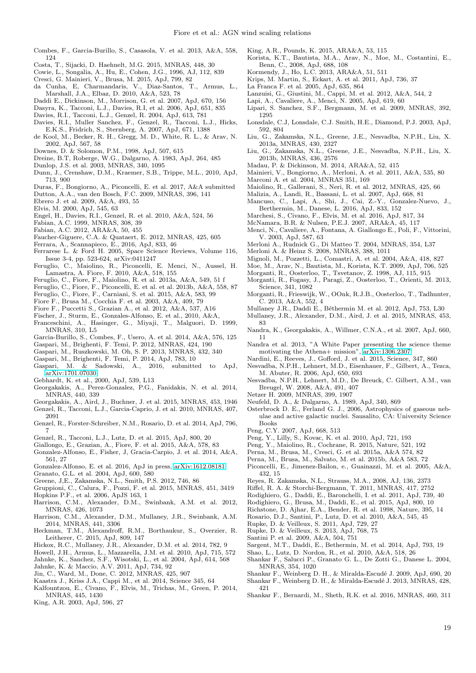- Combes, F., Garcia-Burillo, S., Casasola, V. et al. 2013, A&A, 558, 124
- Costa, T., Sijacki, D. Haehnelt, M.G. 2015, MNRAS, 448, 30
- Cowie, L., Songalia, A., Hu, E., Cohen, J.G., 1996, AJ, 112, 839
- Cresci, G. Mainieri, V., Brusa, M. 2015, ApJ, 799, 82
- da Cunha, E, Charmandaris, V., Diaz-Santos, T., Armus, L., Marshall, J.A., Elbaz, D. 2010, A&A, 523, 78
- Daddi E., Dickinson, M., Morrison, G. et al. 2007, ApJ, 670, 156
- Dasyra, K., Tacconi, L.J., Davies, R.I, et al. 2006, ApJ, 651, 835
- Davies, R.I., Tacconi, L.J., Genzel, R. 2004, ApJ, 613, 781
- Davies, R.I., Muller Sanchez, F., Genzel, R., Tacconi, L.J., Hicks, E.K.S., Fridrich, S., Sternberg, A. 2007, ApJ, 671, 1388
- de Kool, M., Becker, R. H., Gregg, M. D., White, R. L., & Arav, N. 2002, ApJ, 567, 58
- Downes, D. & Solomon, P.M., 1998, ApJ, 507, 615
- Dreine, B.T, Roberge, W.G., Dalgarno, A. 1983, ApJ, 264, 485
- Dunlop, J.S. et al. 2003, MNRAS, 340, 1095
- Dunn, J., Crenshaw, D.M., Kraemer, S.B., Trippe, M.L., 2010, ApJ,
- 713, 900
- Duras, F., Bongiorno, A., Piconcelli, E. et al. 2017, A&A submitted
- Dutton, A.A., van den Bosch, F.C. 2009, MNRAS, 396, 141
- Ebrero J. et al. 2009, A&A, 493, 55
- Elvis, M. 2000, ApJ, 545, 63
- Engel, H., Davies, R.I., Genzel, R. et al. 2010, A&A, 524, 56
- Fabian, A.C. 1999, MNRAS, 308, 39
- Fabian, A.C. 2012, ARA&A, 50, 455
- Faucher-Giguere, C.A. & Quataert, E. 2012, MNRAS, 425, 605
- Ferrara, A., Scannapieco, E., 2016, ApJ, 833, 46
- Ferrarese L. & Ford H. 2005, Space Science Reviews, Volume 116, Issue 3-4, pp. 523-624, arXiv:0411247
- Feruglio, C., Maiolino, R., Piconcelli, E. Menci, N., Aussel, H. Lamastra, A. Fiore, F. 2010, A&A, 518, 155
- Feruglio, C., Fiore, F., Maiolino, R. et al. 2013a, A&A, 549, 51 f
- Feruglio, C., Fiore, F., Piconcelli, E. et al. et al. 2013b, A&A, 558, 87
- Feruglio, C., Fiore, F., Carniani, S. et al. 2015, A&A, 583, 99
- Fiore F., Brusa M., Cocchia F. et al. 2003, A&A, 409, 79
- Fiore F., Puccetti S., Grazian A., et al. 2012, A&A, 537, A16
- Fischer, J., Sturm, E., Gonzales-Alfonso, E. et al., 2010, A&A,
- Franceschini, A., Hasinger, G., Miyaji, T., Malguori, D. 1999, MNRAS, 310, L5
- Garcia-Burillo, S., Combes, F., Usero, A. et al. 2014, A&A, 576, 125
- Gaspari, M., Brighenti, F. Temi, P. 2012, MNRAS, 424, 190
- Gaspari, M., Ruszkowski, M. Oh, S. P. 2013, MNRAS, 432, 340
- Gaspari, M., Brighenti, F. Temi, P. 2014, ApJ, 783, 10
- Gaspari, M. & Sadowski, A., 2016, submitted to ApJ, [arXiv:1701.07030](http://arxiv.org/abs/1701.07030)
- Gebhardt, K. et al., 2000, ApJ, 539, L13
- Georgakakis, A., Perez-Gonzalez, P.G., Fanidakis, N. et al. 2014, MNRAS, 440, 339
- Georgakakis, A., Aird, J., Buchner, J. et al. 2015, MNRAS, 453, 1946 Genzel, R., Tacconi, L.J., Garcia-Caprio, J. et al. 2010, MNRAS, 407,
- 2091 Genzel, R., Forster-Schreiber, N.M., Rosario, D. et al. 2014, ApJ, 796,
- 7 Genzel, R., Tacconi, L.J., Lutz, D. et al. 2015, ApJ, 800, 20
- Giallongo, E., Grazian, A., Fiore, F. et al. 2015, A&A, 578, 83
- Gonzalez-Alfonso, E., Fisher, J, Gracia-Carpio, J. et al. 2014, A&A, 561, 27
- Gonzalez-Alfonso, E. et al. 2016, ApJ in press, [arXiv:1612.08181](http://arxiv.org/abs/1612.08181)
- Granato, G.L. et al. 2004, ApJ, 600, 580
- Greene, J,E., Zakamska, N.L., Smith, P.S. 2012, 746, 86
- Gruppioni, C., Calura, F., Pozzi, F. et al. 2015, MNRAS, 451, 3419
- Hopkins P.F., et al. 2006, ApJS 163, 1
- Harrison, C.M., Alexander, D.M., Swinbank, A.M. et al. 2012, MNRAS, 426, 1073
- Harrison, C.M., Alexander, D.M., Mullaney, J.R., Swinbank, A.M. 2014, MNRAS, 441, 3306
- Heckman, T.M., Alexandroff, R.M., Borthaukur, S., Overzier, R. Leitherer, C. 2015, ApJ, 809, 147
- Hickox, R.C., Mullaney, J.R., Alexander, D.M. et al. 2014, 782, 9
- Howell, J.H., Armus, L., Mazzarella, J.M. et al. 2010, ApJ, 715, 572
- Jahnke, K., Sanchez, S.F., Wisotski, L., et al. 2004, ApJ, 614, 568
- Jahnke, K. & Maccio, A.V. 2011, ApJ, 734, 92
- Jin, C., Ward, M., Done, C. 2012, MNRAS, 425, 907
- Kaastra J., Kriss J.A., Cappi M., et al. 2014, Science 345, 64
- Kalfountzou, E., Civano, F., Elvis, M., Trichas, M., Green, P. 2014,
- MNRAS, 445, 1430 King, A.R. 2003, ApJ, 596, 27
- King, A.R., Pounds, K. 2015, ARA&A, 53, 115
- Korista, K.T., Bautista, M.A., Arav, N., Moe, M., Costantini, E., Benn, C., 2008, ApJ, 688, 108
- Kormendy, J., Ho, L.C. 2013, ARA&A, 51, 511
- Krips, M. Martin, S., Eckart, A. et al. 2011, ApJ, 736, 37
- La Franca F. et al. 2005, ApJ, 635, 864
- Lanzuisi, G., Giustini, M., Cappi, M. et al. 2012, A&A, 544, 2
- Lapi, A., Cavaliere, A., Menci, N. 2005, ApJ, 619, 60
- Lipari, S. Sanchez, S.F., Bergmann, M. et al. 2009, MNRAS, 392, 1295
- Lonsdale, C.J, Lonsdale, C.J. Smith, H.E., Diamond, P.J. 2003, ApJ, 592, 804
- Liu, G., Zakamska, N.L., Greene, J.E., Nesvadba, N.P.H., Liu, X. 2013a, MNRAS, 430, 2327
- Liu, G., Zakamska, N.L., Greene, J.E., Nesvadba, N.P.H., Liu, X. 2013b, MNRAS, 436, 2576
- Madau, P. & Dickinson, M. 2014, ARA&A, 52, 415
- Mainieri, V., Bongiorno, A., Merloni, A. et al. 2011, A&A, 535, 80
- Marconi A. et al. 2004, MNRAS 351, 169
- Maiolino, R., Gallerani, S., Neri, R. et al. 2012, MNRAS, 425, 66
- Malizia, A., Landi, R., Bassani, L. et al. 2007, ApJ, 668, 81
- Mancuso, C., Lapi, A., Shi, J., Cai, Z.-Y., Gonzalez-Nuevo, J., Berthermin, M., Danese, L. 2016, ApJ, 833, 152
- Marchesi, S., Civano, F., Elvis, M. et al. 2016, ApJ, 817, 34
- McNamara, B.R. & Nulsen, P.E.J. 2007, ARA&A, 45, 117
- Menci, N., Cavaliere, A., Fontana, A. Giallongo E., Poli, F., Vittorini, V. 2003, ApJ, 587, 63
- Merloni A., Rudnick G., Di Matteo T. 2004, MNRAS, 354, L37
- Merloni A. & Heinz S. 2008, MNRAS, 388, 1011
- Mignoli, M., Pozzetti, L., Comastri, A. et al. 2004, A&A, 418, 827
- Moe, M., Arav, N., Bautista, M., Korista, K.T. 2009, ApJ, 706, 525
- Morganti, R., Oosterloo, T., Tsvetanov, Z. 1998, AJ, 115, 915
- Morganti, R., Fogasy, J., Paragi, Z., Oosterloo, T., Orienti, M. 2013, Science, 341, 1082
- Morganti, R., Frieswijk, W., OOnk, R.J.B., Oosterloo, T., Tadhunter, C. 2013, A&A, 552, 4
- Mullaney J.R., Daddi E., Béthermin M. et al. 2012, ApJ, 753, L30
- Mullaney, J.R., Alexander, D.M., Aird, J. et al. 2015, MNRAS, 453,
- 83
- Nandra, K., Georgakakis, A., Willmer, C.N.A., et al. 2007, ApJ, 660, 11
- Nandra et al. 2013, "A White Paper presenting the science theme motivating the Athena+ mission", [arXiv:1306.2307](http://arxiv.org/abs/1306.2307)
- Nardini, E., Reeves, J., Gofford, J. et al. 2015, Science, 347, 860
- Nesvadba, N.P.H., Lehnert, M.D., Eisenhauer, F., Gilbert, A., Tezca, M. Abuter, R. 2006, ApJ, 650, 693
- Nesvadba, N.P.H., Lehnert, M.D., De Breuck, C. Gilbert, A.M., van Breugel, W. 2008, A&A, 491, 407
- Netzer H. 2009, MNRAS, 399, 1907

Peng, C.Y. 2007, ApJ, 668, 513

432, 15

Neufeld, D. A., & Dalgarno, A. 1989, ApJ, 340, 869

Peng, Y., Lilly, S., Kovac, K. et al. 2010, ApJ, 721, 193 Peng, Y., Maiolino, R., Cochrane, R. 2015, Nature, 521, 192 Perna, M., Brusa, M., Cresci, G. et al. 2015a, A&A 574, 82 Perna, M., Brusa, M., Salvato, M. et al. 2015b, A&A 583, 72 Piconcelli, E., Jimenez-Bailon, e., Guainazzi, M. et al. 2005, A&A,

Rupke, D. & Veilleux, S. 2011, ApJ, 729, 27 Rupke, D. & Veilleux, S. 2013, ApJ, 768, 75 Santini P. et al. 2009, A&A, 504, 751

MNRAS, 354, 1020

421

Reyes, R. Zakamska, N.L., Strauss, M.A., 2008, AJ, 136, 2373 Riffel, R. A. & Storchi-Bergmann, T. 2011, MNRAS, 417, 2752 Rodighiero, G., Daddi, E., Baronchelli, I. et al. 2011, ApJ, 739, 40 Rodighiero, G., Brusa, M., Daddi, E., et al. 2015, ApJ, 800, 10 Richstone, D. Ajhar, E.A., Bender, R. et al. 1998, Nature, 395, 14 Rosario, D.J., Santini, P., Lutz, D. et al. 2010, A&A, 545, 45

Sargent, M.T., Daddi, E., Bethermin, M. et al. 2014, ApJ, 793, 19 Shao, L., Lutz, D. Nordon, R., et al. 2010, A&A, 518, 26

Shankar F., Salucci P., Granato G. L., De Zotti G., Danese L. 2004,

Shankar F., Weinberg D. H., & Miralda-Escudé J. 2009, ApJ, 690, 20 Shankar F., Weinberg D. H., & Miralda-Escudé J. 2013, MNRAS, 428,

Shankar F., Bernardi, M., Sheth, R.K. et al. 2016, MNRAS, 460, 311

19

Osterbrock D. E., Ferland G. J., 2006, Astrophysics of gaseous nebulae and active galactic nuclei. Sausalito, CA: University Science Books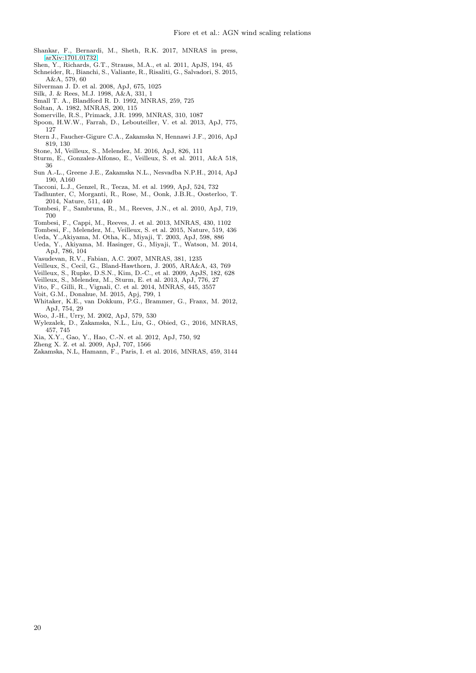- Shankar, F., Bernardi, M., Sheth, R.K. 2017, MNRAS in press, [arXiv:1701.01732](http://arxiv.org/abs/1701.01732)
- Shen, Y., Richards, G.T., Strauss, M.A., et al. 2011, ApJS, 194, 45
- Schneider, R., Bianchi, S., Valiante, R., Risaliti, G., Salvadori, S. 2015, A&A, 579, 60
- Silverman J. D. et al. 2008, ApJ, 675, 1025
- Silk, J. & Rees, M.J. 1998, A&A, 331, 1
- Small T. A., Blandford R. D. 1992, MNRAS, 259, 725
- Soltan, A. 1982, MNRAS, 200, 115
- Somerville, R.S., Primack, J.R. 1999, MNRAS, 310, 1087
- Spoon, H.W.W., Farrah, D., Lebouteiller, V. et al. 2013, ApJ, 775, 127
- Stern J., Faucher-Gigure C.A., Zakamska N, Hennawi J.F., 2016, ApJ 819, 130
- Stone, M, Veilleux, S., Melendez, M. 2016, ApJ, 826, 111
- Sturm, E., Gonzalez-Alfonso, E., Veilleux, S. et al. 2011, A&A 518, 36
- Sun A.-L., Greene J.E., Zakamska N.L., Nesvadba N.P.H., 2014, ApJ 190, A160
- Tacconi, L.J., Genzel, R., Tecza, M. et al. 1999, ApJ, 524, 732
- Tadhunter, C, Morganti, R., Rose, M., Oonk, J.B.R., Oosterloo, T. 2014, Nature, 511, 440
- Tombesi, F., Sambruna, R., M., Reeves, J.N., et al. 2010, ApJ, 719, 700
- Tombesi, F., Cappi, M., Reeves, J. et al. 2013, MNRAS, 430, 1102
- Tombesi, F., Melendez, M., Veilleux, S. et al. 2015, Nature, 519, 436
- Ueda, Y.,Akiyama, M. Otha, K., Miyaji, T. 2003, ApJ, 598, 886
- Ueda, Y., Akiyama, M. Hasinger, G., Miyaji, T., Watson, M. 2014, ApJ, 786, 104
- Vasudevan, R.V., Fabian, A.C. 2007, MNRAS, 381, 1235
- Veilleux, S., Cecil, G., Bland-Hawthorn, J. 2005, ARA&A, 43, 769
- Veilleux, S., Rupke, D.S.N., Kim, D.-C., et al. 2009, ApJS, 182, 628
- Veilleux, S., Melendez, M., Sturm, E. et al. 2013, ApJ, 776, 27
- Vito, F., Gilli, R., Vignali, C. et al. 2014, MNRAS, 445, 3557
- Voit, G.M., Donahue, M. 2015, Apj, 799, 1
- Whitaker, K.E., van Dokkum, P.G., Brammer, G., Franx, M. 2012, ApJ, 754, 29
- Woo, J.-H., Urry, M. 2002, ApJ, 579, 530
- Wylezalek, D., Zakamska, N.L., Liu, G., Obied, G., 2016, MNRAS, 457, 745
- Xia, X.Y., Gao, Y., Hao, C.-N. et al. 2012, ApJ, 750, 92
- Zheng X. Z. et al. 2009, ApJ, 707, 1566
- Zakamska, N.L, Hamann, F., Paris, I. et al. 2016, MNRAS, 459, 3144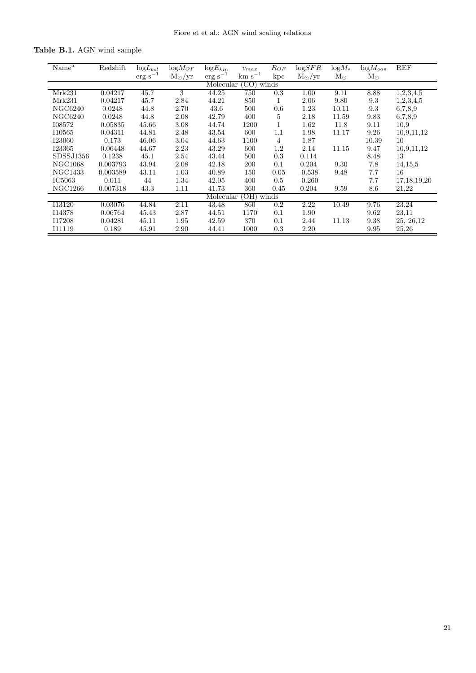| Table B.1. AGN wind sample |  |
|----------------------------|--|
|----------------------------|--|

| Name <sup>a</sup>          | Redshift | $logL_{bol}$ | $logM_{OF}$             | $log E_{kin}$ | $v_{max}$   | $R_{OF}$         | logSFR         | $logM_{*}$  | $logM_{gas}$    | REF            |
|----------------------------|----------|--------------|-------------------------|---------------|-------------|------------------|----------------|-------------|-----------------|----------------|
|                            |          | $erg s^{-1}$ | $M_{\odot}/yr$          | $erg s^{-1}$  | $km s^{-1}$ | kpc              | $M_{\odot}/yr$ | $M_{\odot}$ | $\rm M_{\odot}$ |                |
| Molecular<br>(CO)<br>winds |          |              |                         |               |             |                  |                |             |                 |                |
| Mrk231                     | 0.04217  | 45.7         | $\overline{\mathbf{3}}$ | 44.25         | 750         | $\overline{0.3}$ | 1.00           | 9.11        | 8.88            | 1,2,3,4,5      |
| Mrk231                     | 0.04217  | 45.7         | 2.84                    | 44.21         | 850         | 1                | 2.06           | 9.80        | 9.3             | 1,2,3,4,5      |
| NGC6240                    | 0.0248   | 44.8         | 2.70                    | 43.6          | 500         | 0.6              | 1.23           | 10.11       | 9.3             | 6,7,8,9        |
| NGC6240                    | 0.0248   | 44.8         | 2.08                    | 42.79         | 400         | 5                | 2.18           | 11.59       | 9.83            | 6,7,8,9        |
| 108572                     | 0.05835  | 45.66        | 3.08                    | 44.74         | 1200        | $\mathbf{1}$     | 1.62           | 11.8        | 9.11            | 10,9           |
| I10565                     | 0.04311  | 44.81        | 2.48                    | 43.54         | 600         | 1.1              | 1.98           | 11.17       | 9.26            | 10,9,11,12     |
| 123060                     | 0.173    | 46.06        | 3.04                    | 44.63         | 1100        | $\overline{4}$   | 1.87           |             | 10.39           | 10             |
| 123365                     | 0.06448  | 44.67        | 2.23                    | 43.29         | 600         | $1.2\,$          | 2.14           | 11.15       | 9.47            | 10,9,11,12     |
| SDSSJ1356                  | 0.1238   | 45.1         | 2.54                    | 43.44         | 500         | 0.3              | 0.114          |             | 8.48            | 13             |
| NGC1068                    | 0.003793 | 43.94        | 2.08                    | 42.18         | 200         | 0.1              | 0.204          | 9.30        | 7.8             | 14, 15, 5      |
| NGC1433                    | 0.003589 | 43.11        | 1.03                    | 40.89         | 150         | 0.05             | $-0.538$       | 9.48        | 7.7             | 16             |
| IC5063                     | 0.011    | 44           | 1.34                    | 42.05         | 400         | 0.5              | $-0.260$       |             | 7.7             | 17, 18, 19, 20 |
| <b>NGC1266</b>             | 0.007318 | 43.3         | 1.11                    | 41.73         | 360         | 0.45             | 0.204          | 9.59        | 8.6             | 21,22          |
| Molecular<br>(OH)<br>winds |          |              |                         |               |             |                  |                |             |                 |                |
| I13120                     | 0.03076  | 44.84        | 2.11                    | 43.48         | 860         | 0.2              | 2.22           | 10.49       | 9.76            | 23,24          |
| I14378                     | 0.06764  | 45.43        | 2.87                    | 44.51         | 1170        | 0.1              | 1.90           |             | 9.62            | 23,11          |
| I17208                     | 0.04281  | 45.11        | 1.95                    | 42.59         | 370         | 0.1              | 2.44           | 11.13       | 9.38            | 25, 26, 12     |
| I11119                     | 0.189    | 45.91        | 2.90                    | 44.41         | 1000        | 0.3              | 2.20           |             | 9.95            | 25,26          |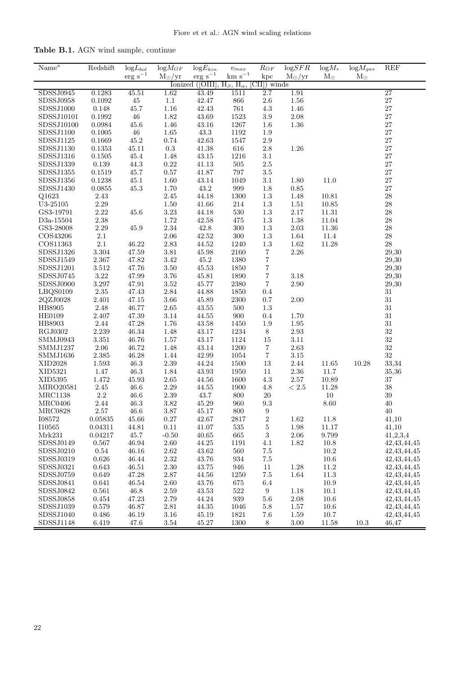Table B.1. AGN wind sample, continue

| Name $\alpha$                 | Redshift  | $logL_{bol}$        | $logM_{OF}$    | $log \dot{E}_{kin}$ | $v_{max}$                    | $R_{OF}$         | logSFR         | $logM_{*}$  | $logM_{gas}$ | REF            |
|-------------------------------|-----------|---------------------|----------------|---------------------|------------------------------|------------------|----------------|-------------|--------------|----------------|
|                               |           | $\text{erg s}^{-1}$ | $M_{\odot}/yr$ | $\text{erg s}^{-1}$ | $\rm km~s^{-1}$              | kpc              | $M_{\odot}/yr$ | $M_{\odot}$ | $M_{\odot}$  |                |
|                               |           |                     |                | Ionized ([OIII]     | $H_{\beta}$ , $H_{\alpha}$ , | CII) winds       |                |             |              |                |
| SDSSJ0945                     | 0.1283    | 45.51               | 1.62           | 43.49               | 1511                         | 2.7              | 1.91           |             |              | 27             |
| SDSSJ0958                     | 0.1092    | 45                  | $1.1\,$        | 42.47               | 866                          | $2.6\,$          | $1.56\,$       |             |              | $27\,$         |
| SDSSJ1000                     | $0.148\,$ | 45.7                | $1.16\,$       | 42.43               | 761                          | $4.3\,$          | 1.46           |             |              | $27\,$         |
| SDSSJ10101                    | 0.1992    | $46\,$              | $1.82\,$       | $43.69\,$           | 1523                         | $3.9\,$          | $2.08\,$       |             |              | $27\,$         |
| SDSSJ10100                    | 0.0984    | 45.6                | 1.46           | 43.16               | 1267                         | 1.6              | 1.36           |             |              | $27\,$         |
| SDSSJ1100                     | 0.1005    | $\sqrt{46}$         | $1.65\,$       | 43.3                | 1192                         | 1.9              |                |             |              | $27\,$         |
| SDSSJ1125                     | 0.1669    | 45.2                | 0.74           | 42.63               | 1547                         | $2.9\,$          |                |             |              | $27\,$         |
| SDSSJ1130                     | 0.1353    | 45.11               | $\rm 0.3$      | 41.38               | 616                          | $2.8\,$          | 1.26           |             |              | 27             |
| SDSSJ1316                     | 0.1505    | 45.4                | 1.48           | 43.15               | 1216                         | 3.1              |                |             |              | $27\,$         |
| SDSSJ1339                     | $0.139\,$ | $44.3\,$            | $0.22\,$       | 41.13               | $505\,$                      | $2.5\,$          |                |             |              | $27\,$         |
| SDSSJ1355                     | 0.1519    | 45.7                | $0.57\,$       | 41.87               | 797                          | $3.5\,$          |                |             |              | $27\,$         |
| SDSSJ1356                     | 0.1238    | $45.1\,$            | $1.60\,$       | 43.14               | 1049                         | 3.1              | 1.80           | 11.0        |              | $27\,$         |
| SDSSJ1430                     | 0.0855    | 45.3                | $1.70\,$       | $43.2\,$            | 999                          | 1.8              | $0.85\,$       |             |              | $27\,$         |
| Q1623                         | 2.43      |                     | 2.45           | 44.18               | 1300                         | 1.3              | 1.48           | 10.81       |              | $28\,$         |
| U3-25105                      | $2.29\,$  |                     | 1.50           | 41.66               | $214\,$                      | 1.3              | 1.51           | 10.85       |              | $28\,$         |
| GS3-19791                     | 2.22      | 45.6                | $3.23\,$       | 44.18               | $530\,$                      | $1.3\,$          | $2.17\,$       | 11.31       |              | $28\,$         |
| D3a-15504                     | $2.38\,$  |                     | $1.72\,$       | 42.58               | 475                          | 1.3              | $1.38\,$       | 11.04       |              | $28\,$         |
| GS3-28008                     | $2.29\,$  | 45.9                | $2.34\,$       | 42.8                | $300\,$                      | $1.3\,$          | $2.03\,$       | 11.36       |              | $28\,$         |
| COS43206                      | 2.1       |                     | $2.06\,$       | 42.52               | $300\,$                      | 1.3              | $1.64\,$       | 11.4        |              | $28\,$         |
| COS11363                      | $2.1\,$   | 46.22               | $2.83\,$       | 44.52               | 1240                         | 1.3              | 1.62           | 11.28       |              | 28             |
| SDSSJ1326                     | $3.304\,$ | 47.59               | $3.81\,$       | 45.98               | 2160                         | $\,7$            | $2.26\,$       |             |              | 29,30          |
| SDSSJ1549                     | $2.367\,$ | 47.82               | $3.42\,$       | $45.2\,$            | 1380                         | $\,7$            |                |             |              | 29,30          |
| SDSSJ1201                     | $3.512\,$ | 47.76               | $3.50\,$       | 45.53               | 1850                         | $\,7$            |                |             |              | 29,30          |
| SDSSJ0745                     | $3.22\,$  | $\rm 47.99$         | $3.76\,$       | 45.81               | 1890                         | $\,7$            | 3.18           |             |              | 29,30          |
| SDSSJ0900                     | 3.297     | 47.91               | 3.52           | 45.77               | 2380                         | $\,7$            | $2.90\,$       |             |              | 29,30          |
| $\mathrm{LBQ} \mathrm{S}0109$ | $2.35\,$  | 47.43               | 2.84           | 44.88               | 1850                         | $0.4\,$          |                |             |              | $31\,$         |
| $2{\rm QZJ}0028$              | 2.401     | 47.15               | $3.66\,$       | 45.89               | 2300                         | 0.7              | 2.00           |             |              | $31\,$         |
| HB8905                        | $2.48\,$  | 46.77               | $2.65\,$       | 43.55               | 500                          | $1.3\,$          |                |             |              | $31\,$         |
| <b>HE0109</b>                 | $2.407\,$ | 47.39               | $3.14\,$       | 44.55               | $900\,$                      | 0.4              | 1.70           |             |              | $31\,$         |
| HB8903                        | 2.44      | 47.28               | $1.76\,$       | $\!3.58\!$          | 1450                         | 1.9              | 1.95           |             |              | $31\,$         |
| <b>RGJ0302</b>                | 2.239     | 46.34               | 1.48           | 43.17               | $1234\,$                     | $\,8\,$          | $2.93\,$       |             |              | 32             |
| SMMJ0943                      | $3.351\,$ | 46.76               | $1.57\,$       | 43.17               | 1124                         | $15\,$           | 3.11           |             |              | $32\,$         |
| SMMJ1237                      | $2.06\,$  | 46.72               | 1.48           | 43.14               | 1200                         | $\,7$            | 2.63           |             |              | $32\,$         |
| SMMJ1636                      | $2.385\,$ | 46.28               | 1.44           | 42.99               | $1054\,$                     | $\,7$            | $3.15\,$       |             |              | 32             |
| XID2028                       | $1.593\,$ | $46.3\,$            | $2.39\,$       | 44.24               | 1500                         | $13\,$           | $2.44\,$       | 11.65       | 10.28        | 33,34          |
| XID5321                       | 1.47      | 46.3                | 1.84           | 43.93               | 1950                         | 11               | $2.36\,$       | 11.7        |              | 35,36          |
| XID5395                       | 1.472     | 45.93               | 2.65           | 44.56               | 1600                         | 4.3              | 2.57           | 10.89       |              | 37             |
| MIRO20581                     | $2.45\,$  | 46.6                | $2.29\,$       | 44.55               | 1900                         | 4.8              | $< 2.5\,$      | 11.28       |              | $38\,$         |
| <b>MRC1138</b>                | $2.2\,$   | $46.6\,$            | $2.39\,$       | 43.7                | 800                          | $20\,$           |                | $10\,$      |              | $39\,$         |
| <b>MRC0406</b>                | $2.44\,$  | 46.3                | 3.82           | 45.29               | 960                          | 9.3              |                | 8.60        |              | 40             |
| <b>MRC0828</b>                | 2.57      | 46.6                | 3.87           | 45.17               | 800                          | $\boldsymbol{9}$ |                |             |              | 40             |
| I08572                        | 0.05835   | 45.66               | 0.27           | 42.67               | 2817                         | $\boldsymbol{2}$ | 1.62           | 11.8        |              | 41,10          |
| I10565                        | 0.04311   | 44.81               | $0.11\,$       | 41.07               | $535\,$                      | $\bf 5$          | 1.98           | 11.17       |              | 41,10          |
| Mrk231                        | 0.04217   | 45.7                | $-0.50$        | 40.65               | 665                          | $\,3$            | 2.06           | 9.799       |              | 41,2,3,4       |
| SDSSJ0149                     | 0.567     | 46.94               | 2.60           | 44.25               | 1191                         | 4.1              | 1.82           | 10.8        |              | 42, 43, 44, 45 |
| SDSSJ0210                     | $0.54\,$  | 46.16               | $2.62\,$       | 43.62               | 560                          | 7.5              |                | $10.2\,$    |              | 42, 43, 44, 45 |
| SDSSJ0319                     | 0.626     | 46.44               | $2.32\,$       | 43.76               | 934                          | $7.5\,$          |                | $10.6\,$    |              | 42, 43, 44, 45 |
| SDSSJ0321                     | 0.643     | 46.51               | $2.30\,$       | 43.75               | 946                          | 11               | 1.28           | 11.2        |              | 42, 43, 44, 45 |
| SDSSJ0759                     | 0.649     | 47.28               | $2.87\,$       | 44.56               | 1250                         | $7.5\,$          | 1.64           | $11.3\,$    |              | 42, 43, 44, 45 |
| SDSSJ0841                     | 0.641     | 46.54               | $2.60\,$       | 43.76               | 675                          | 6.4              |                | 10.9        |              | 42, 43, 44, 45 |
| SDSSJ0842                     | 0.561     | 46.8                | 2.59           | 43.53               | $522\,$                      | $\boldsymbol{9}$ | 1.18           | $10.1\,$    |              | 42, 43, 44, 45 |
| SDSSJ0858                     | 0.454     | 47.23               | 2.79           | 44.24               | $\boldsymbol{939}$           | 5.6              | 2.08           | 10.6        |              | 42, 43, 44, 45 |
| SDSSJ1039                     | 0.579     | 46.87               | 2.81           | 44.35               | 1046                         | 5.8              | 1.57           | 10.6        |              | 42, 43, 44, 45 |
| SDSSJ1040                     | $0.486\,$ | 46.19               | $3.16\,$       | 45.19               | $1821\,$                     | 7.6              | 1.59           | $10.7\,$    |              | 42, 43, 44, 45 |
| SDSSJ1148                     | 6.419     | 47.6                | 3.54           | 45.27               | 1300                         | 8                | 3.00           | 11.58       | 10.3         | 46,47          |